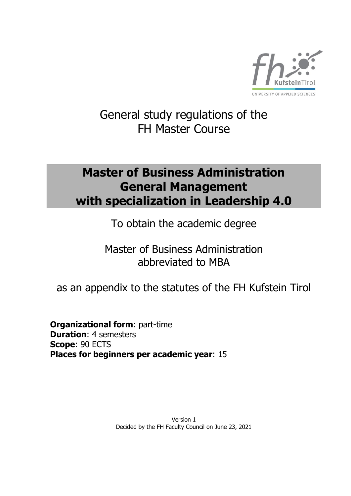

# General study regulations of the FH Master Course

# **Master of Business Administration General Management with specialization in Leadership 4.0**

To obtain the academic degree

Master of Business Administration abbreviated to MBA

as an appendix to the statutes of the FH Kufstein Tirol

**Organizational form**: part-time **Duration**: 4 semesters **Scope**: 90 ECTS **Places for beginners per academic year**: 15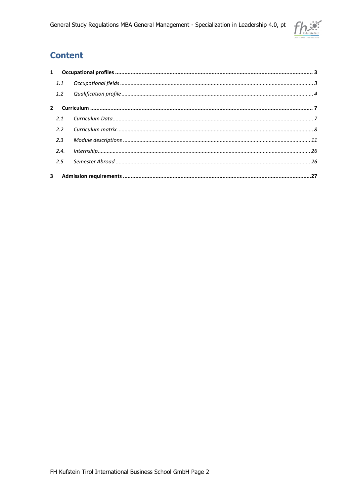

# **Content**

| 1.1  |  |
|------|--|
|      |  |
|      |  |
| 2.1  |  |
|      |  |
| 2.3  |  |
| 2.4. |  |
|      |  |
|      |  |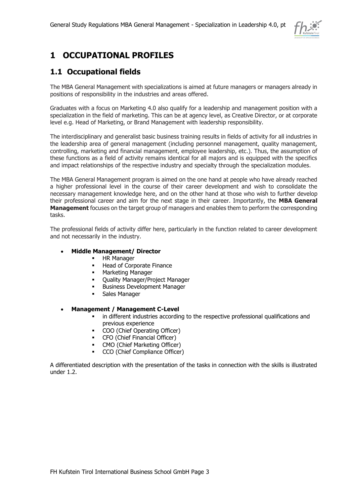

# <span id="page-2-0"></span>**1 OCCUPATIONAL PROFILES**

## <span id="page-2-1"></span>**1.1 Occupational fields**

The MBA General Management with specializations is aimed at future managers or managers already in positions of responsibility in the industries and areas offered.

Graduates with a focus on Marketing 4.0 also qualify for a leadership and management position with a specialization in the field of marketing. This can be at agency level, as Creative Director, or at corporate level e.g. Head of Marketing, or Brand Management with leadership responsibility.

The interdisciplinary and generalist basic business training results in fields of activity for all industries in the leadership area of general management (including personnel management, quality management, controlling, marketing and financial management, employee leadership, etc.). Thus, the assumption of these functions as a field of activity remains identical for all majors and is equipped with the specifics and impact relationships of the respective industry and specialty through the specialization modules.

The MBA General Management program is aimed on the one hand at people who have already reached a higher professional level in the course of their career development and wish to consolidate the necessary management knowledge here, and on the other hand at those who wish to further develop their professional career and aim for the next stage in their career. Importantly, the **MBA General Management** focuses on the target group of managers and enables them to perform the corresponding tasks.

The professional fields of activity differ here, particularly in the function related to career development and not necessarily in the industry.

### • **Middle Management/ Director**

- **■** HR Manager
- Head of Corporate Finance
- Marketing Manager
- Ouality Manager/Project Manager
- **Business Development Manager**
- Sales Manager

### • **Management / Management C-Level**

- in different industries according to the respective professional qualifications and previous experience
- COO (Chief Operating Officer)
- CFO (Chief Financial Officer)
- CMO (Chief Marketing Officer)
- CCO (Chief Compliance Officer)

A differentiated description with the presentation of the tasks in connection with the skills is illustrated under 1.2.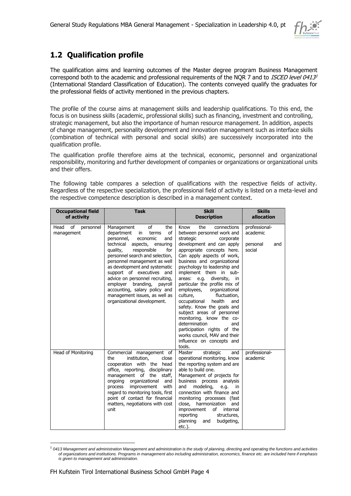

## <span id="page-3-0"></span>**1.2 Qualification profile**

The qualification aims and learning outcomes of the Master degree program Business Management correspond both to the academic and professional requirements of the NQR 7 and to *ISCED level 0413<sup>1</sup>* (International Standard Classification of Education). The contents conveyed qualify the graduates for the professional fields of activity mentioned in the previous chapters.

The profile of the course aims at management skills and leadership qualifications. To this end, the focus is on business skills (academic, professional skills) such as financing, investment and controlling, strategic management, but also the importance of human resource management. In addition, aspects of change management, personality development and innovation management such as interface skills (combination of technical with personal and social skills) are successively incorporated into the qualification profile.

The qualification profile therefore aims at the technical, economic, personnel and organizational responsibility, monitoring and further development of companies or organizations or organizational units and their offers.

The following table compares a selection of qualifications with the respective fields of activity. Regardless of the respective specialization, the professional field of activity is listed on a meta-level and the respective competence description is described in a management context.

| <b>Occupational field</b><br>of activity | <b>Task</b>                                                                                                                                                                                                                                                                                                                                                                                                                                                           | <b>Skill</b><br><b>Description</b>                                                                                                                                                                                                                                                                                                                                                                                                                                                                                                                                                                                                                          | <b>Skills</b><br>allocation                            |
|------------------------------------------|-----------------------------------------------------------------------------------------------------------------------------------------------------------------------------------------------------------------------------------------------------------------------------------------------------------------------------------------------------------------------------------------------------------------------------------------------------------------------|-------------------------------------------------------------------------------------------------------------------------------------------------------------------------------------------------------------------------------------------------------------------------------------------------------------------------------------------------------------------------------------------------------------------------------------------------------------------------------------------------------------------------------------------------------------------------------------------------------------------------------------------------------------|--------------------------------------------------------|
| Head<br>οf<br>personnel<br>management    | of<br>Management<br>the<br>of<br>department<br>in<br>terms<br>personnel,<br>economic<br>and<br>technical<br>aspects, ensuring<br>responsible<br>for<br>quality,<br>personnel search and selection,<br>personnel management as well<br>as development and systematic<br>support of executives and<br>advice on personnel recruiting,<br>branding, payroll<br>employer<br>accounting, salary policy and<br>management issues, as well as<br>organizational development. | the<br>Know<br>connections<br>between personnel work and<br>strategic<br>corporate<br>development and can apply<br>appropriate concepts here.<br>Can apply aspects of work,<br>business and organizational<br>psychology to leadership and<br>implement them in sub-<br>diversity,<br>areas: e.g.<br>in<br>particular the profile mix of<br>employees,<br>organizational<br>culture,<br>fluctuation,<br>occupational<br>health<br>and<br>safety. Know the goals and<br>subject areas of personnel<br>monitoring. know the co-<br>determination<br>and<br>participation rights of the<br>works council, MAV and their<br>influence on concepts and<br>tools. | professional-<br>academic<br>personal<br>and<br>social |
| Head of Monitoring                       | Commercial management of<br>the<br>institution,<br>close<br>cooperation with the head<br>office, reporting, disciplinary<br>management of the<br>staff,<br>ongoing organizational<br>and<br>with<br>improvement<br>process<br>regard to monitoring tools, first<br>point of contact for financial<br>matters, negotiations with cost<br>unit                                                                                                                          | Master<br>strategic<br>and<br>operational monitoring. know<br>the reporting system and are<br>able to build one.<br>Management of projects for<br>business process<br>analysis<br>modeling,<br>and<br>e.g.<br>in.<br>connection with finance and<br>monitoring processes (fast<br>close, harmonization<br>and<br>of<br>improvement<br>internal<br>structures,<br>reporting<br>planning<br>budgeting,<br>and<br>$etc.$ ).                                                                                                                                                                                                                                    | professional-<br>academic                              |

<sup>1</sup> *0413 Management and administration Management and administration is the study of planning, directing and operating the functions and activities of organizations and institutions. Programs in management also including administration, economics, finance etc. are included here if emphasis is given to management and administration.*

-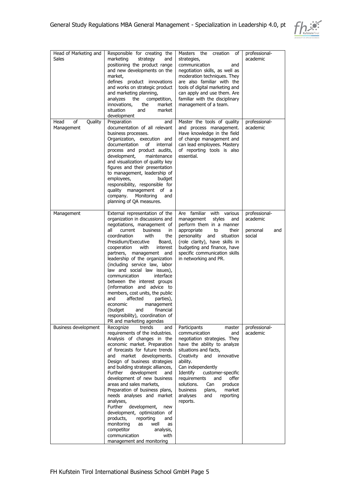

| Head of Marketing and<br>Sales      | Responsible for creating the<br>marketing<br>strategy<br>and<br>positioning the product range<br>and new developments on the<br>market,<br>defines product innovations<br>and works on strategic product<br>and marketing planning,<br>analyzes<br>the<br>competition,<br>innovations,<br>market<br>the<br>situation<br>and<br>market<br>development                                                                                                                                                                                                                                                                                                             | Masters the creation<br>of<br>strategies,<br>communication<br>and<br>negotiation skills, as well as<br>moderation techniques. They<br>are also familiar with the<br>tools of digital marketing and<br>can apply and use them. Are<br>familiar with the disciplinary<br>management of a team.                                                                                            | professional-<br>academic                              |
|-------------------------------------|------------------------------------------------------------------------------------------------------------------------------------------------------------------------------------------------------------------------------------------------------------------------------------------------------------------------------------------------------------------------------------------------------------------------------------------------------------------------------------------------------------------------------------------------------------------------------------------------------------------------------------------------------------------|-----------------------------------------------------------------------------------------------------------------------------------------------------------------------------------------------------------------------------------------------------------------------------------------------------------------------------------------------------------------------------------------|--------------------------------------------------------|
| Head<br>οf<br>Quality<br>Management | Preparation<br>and<br>documentation of all relevant<br>business processes.<br>Organization, execution and<br>documentation<br>of<br>internal<br>process and product audits,<br>development,<br>maintenance<br>and visualization of quality key<br>figures and their presentation<br>to management, leadership of<br>employees,<br>budget<br>responsibility, responsible for<br>quality management of a<br>company.<br>Monitoring<br>and<br>planning of QA measures.                                                                                                                                                                                              | Master the tools of quality<br>and process management.<br>Have knowledge in the field<br>of change management and<br>can lead employees. Mastery<br>of reporting tools is also<br>essential.                                                                                                                                                                                            | professional-<br>academic                              |
| Management                          | External representation of the<br>organization in discussions and<br>negotiations, management of<br>all<br>current<br>business<br>in<br>coordination<br>with<br>the<br>Presidium/Executive<br>Board,<br>cooperation<br>with<br>interest<br>partners, management<br>and<br>leadership of the organization<br>(including service law, labor<br>law and social law issues),<br>communication<br>interface<br>between the interest groups<br>(information and advice to<br>members, cost units, the public<br>affected<br>and<br>parties),<br>economic<br>management<br>(budget<br>and<br>financial<br>responsibility), coordination of<br>PR and marketing agendas  | Are familiar with various<br>management<br>styles<br>and<br>perform them in a manner<br>appropriate<br>to<br>their<br>personality and<br>situation<br>(role clarity), have skills in<br>budgeting and finance, have<br>specific communication skills<br>in networking and PR.                                                                                                           | professional-<br>academic<br>personal<br>and<br>social |
| Business development                | Recognize<br>trends<br>and<br>requirements of the industries.<br>Analysis of changes in the<br>economic market. Preparation<br>of forecasts for future trends<br>market developments.<br>and<br>Design of business strategies<br>and building strategic alliances,<br>Further<br>development<br>and<br>development of new business<br>areas and sales markets.<br>Preparation of business plans,<br>needs analyses and market<br>analyses,<br>development,<br>Further<br>new<br>development, optimization of<br>products,<br>reporting<br>and<br>monitoring<br>as<br>well<br>as<br>competitor<br>analysis,<br>communication<br>with<br>management and monitoring | Participants<br>master<br>communication<br>and<br>negotiation strategies. They<br>have the ability to analyze<br>situations and facts,<br>innovative<br>Creativity<br>and<br>ability.<br>Can independently<br>Identify<br>customer-specific<br>requirements<br>and<br>offer<br>solutions.<br>Can<br>produce<br>business<br>plans,<br>market<br>analyses<br>and<br>reporting<br>reports. | professional-<br>academic                              |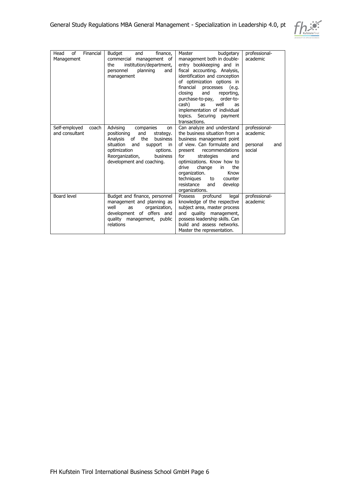

| of<br>Financial<br>Head<br>Management    | <b>Budget</b><br>finance,<br>and<br>commercial<br>management of<br>institution/department,<br>the<br>personnel<br>planning<br>and<br>management                                                                                          | Master<br>budgetary<br>management both in double-<br>entry bookkeeping and in<br>fiscal accounting. Analysis,<br>identification and conception<br>of optimization options in<br>financial<br>processes<br>(e.g.<br>and<br>closing<br>reporting,<br>purchase-to-pay,<br>order-to-<br>well<br>cash)<br>as<br>as<br>implementation of individual<br>topics. Securing<br>payment<br>transactions. | professional-<br>academic                              |
|------------------------------------------|------------------------------------------------------------------------------------------------------------------------------------------------------------------------------------------------------------------------------------------|-----------------------------------------------------------------------------------------------------------------------------------------------------------------------------------------------------------------------------------------------------------------------------------------------------------------------------------------------------------------------------------------------|--------------------------------------------------------|
| Self-employed<br>coach<br>and consultant | Advising<br>companies<br><b>on</b><br>positioning<br>and<br>strategy.<br>of<br>the<br>Analysis<br>business<br>situation<br>and<br>support<br>in.<br>optimization<br>options.<br>Reorganization,<br>business<br>development and coaching. | Can analyze and understand<br>the business situation from a<br>business management point<br>of view. Can formulate and<br>recommendations<br>present<br>for<br>strategies<br>and<br>optimizations. Know how to<br>the<br>drive<br>change<br>in<br>organization.<br>Know<br>techniques<br>counter<br>to<br>resistance<br>develop<br>and<br>organizations.                                      | professional-<br>academic<br>personal<br>and<br>social |
| Board level                              | Budget and finance, personnel<br>management and planning as<br>well<br>organization,<br>as<br>development of offers and<br>quality management, public<br>relations                                                                       | profound<br>Possess<br>legal<br>knowledge of the respective<br>subject area, master process<br>and quality management,<br>possess leadership skills. Can<br>build and assess networks.<br>Master the representation.                                                                                                                                                                          | professional-<br>academic                              |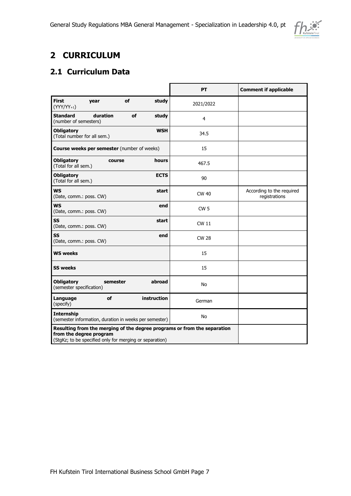

# <span id="page-6-0"></span>**2 CURRICULUM**

## <span id="page-6-1"></span>**2.1 Curriculum Data**

|                                                                                                                                                                | PT              | <b>Comment if applicable</b>               |
|----------------------------------------------------------------------------------------------------------------------------------------------------------------|-----------------|--------------------------------------------|
| <b>First</b><br>of<br>study<br>year<br>$(YYY/YY_{+1})$                                                                                                         | 2021/2022       |                                            |
| <b>Standard</b><br>duration<br>of<br>study<br>(number of semesters)                                                                                            | $\overline{4}$  |                                            |
| <b>WSH</b><br><b>Obligatory</b><br>(Total number for all sem.)                                                                                                 | 34.5            |                                            |
| <b>Course weeks per semester</b> (number of weeks)                                                                                                             | 15              |                                            |
| <b>Obligatory</b><br>hours<br>course<br>(Total for all sem.)                                                                                                   | 467.5           |                                            |
| <b>Obligatory</b><br><b>ECTS</b><br>(Total for all sem.)                                                                                                       | 90              |                                            |
| <b>WS</b><br>start<br>(Date, comm.: poss. CW)                                                                                                                  | <b>CW 40</b>    | According to the required<br>registrations |
| <b>WS</b><br>end<br>(Date, comm.: poss. CW)                                                                                                                    | CW <sub>5</sub> |                                            |
| SS<br>start<br>(Date, comm.: poss. CW)                                                                                                                         | <b>CW 11</b>    |                                            |
| <b>SS</b><br>end<br>(Date, comm.: poss. CW)                                                                                                                    | <b>CW 28</b>    |                                            |
| <b>WS weeks</b>                                                                                                                                                | 15              |                                            |
| <b>SS weeks</b>                                                                                                                                                | 15              |                                            |
| <b>Obligatory</b><br>abroad<br>semester<br>(semester specification)                                                                                            | No              |                                            |
| instruction<br>Language<br>of<br>(specify)                                                                                                                     | German          |                                            |
| <b>Internship</b><br>(semester information, duration in weeks per semester)                                                                                    | No              |                                            |
| Resulting from the merging of the degree programs or from the separation<br>from the degree program<br>(StgKz; to be specified only for merging or separation) |                 |                                            |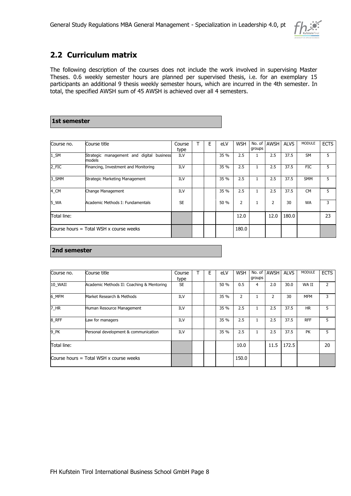

## <span id="page-7-0"></span>**2.2 Curriculum matrix**

The following description of the courses does not include the work involved in supervising Master Theses. 0.6 weekly semester hours are planned per supervised thesis, i.e. for an exemplary 15 participants an additional 9 thesis weekly semester hours, which are incurred in the 4th semester. In total, the specified AWSH sum of 45 AWSH is achieved over all 4 semesters.

## **1st semester**

| Course no.  | Course title                                              | Course      | E | eLV  | <b>WSH</b> | No. of<br>groups | <b>AWSH</b> | <b>ALVS</b> | <b>MODULE</b> | <b>ECTS</b> |
|-------------|-----------------------------------------------------------|-------------|---|------|------------|------------------|-------------|-------------|---------------|-------------|
| $1$ _SM     | Strategic<br>management and digital<br>business<br>models | type<br>ILV |   | 35 % | 2.5        |                  | 2.5         | 37.5        | <b>SM</b>     | 5           |
| 2_FIC       | Financing, Investment and Monitoring                      | ILV         |   | 35 % | 2.5        |                  | 2.5         | 37.5        | <b>FIC</b>    | 5           |
| 3 SMM       | Strategic Marketing Management                            | ILV         |   | 35 % | 2.5        |                  | 2.5         | 37.5        | <b>SMM</b>    | 5           |
| 4 CM        | Change Management                                         | ILV         |   | 35 % | 2.5        |                  | 2.5         | 37.5        | <b>CM</b>     | 5           |
| 5_WA        | Academic Methods I: Fundamentals                          | <b>SE</b>   |   | 50 % | 2          |                  | 2           | 30          | <b>WA</b>     | 3           |
| Total line: |                                                           |             |   |      | 12.0       |                  | 12.0        | 180.0       |               | 23          |
|             | Course hours $=$ Total WSH x course weeks                 |             |   |      | 180.0      |                  |             |             |               |             |

#### **2nd semester**

| Course no.         | Course title                              | Course<br>type | Е | eLV  | <b>WSH</b> | groups | No. of AWSH | <b>ALVS</b> | <b>MODULE</b> | <b>ECTS</b> |
|--------------------|-------------------------------------------|----------------|---|------|------------|--------|-------------|-------------|---------------|-------------|
| 10 WAII            | Academic Methods II: Coaching & Mentoring | <b>SE</b>      |   | 50 % | 0.5        | 4      | 2.0         | 30.0        | WA II         | 2           |
| 6 MFM              | Market Research & Methods                 | ILV            |   | 35 % | 2          | 1      | 2           | 30          | <b>MFM</b>    | 3           |
| 7_HR               | Human Resource Management                 | ILV            |   | 35 % | 2.5        | 1      | 2.5         | 37.5        | <b>HR</b>     | 5           |
| 8 RFF              | Law for managers                          | ILV            |   | 35 % | 2.5        | 1      | 2.5         | 37.5        | <b>RFF</b>    | 5           |
| $9$ <sub>-PK</sub> | Personal development & communication      | ILV            |   | 35 % | 2.5        | 1      | 2.5         | 37.5        | <b>PK</b>     | 5.          |
| Total line:        |                                           |                |   |      | 10.0       |        | 11.5        | 172.5       |               | 20          |
|                    | Course hours $=$ Total WSH x course weeks |                |   |      | 150.0      |        |             |             |               |             |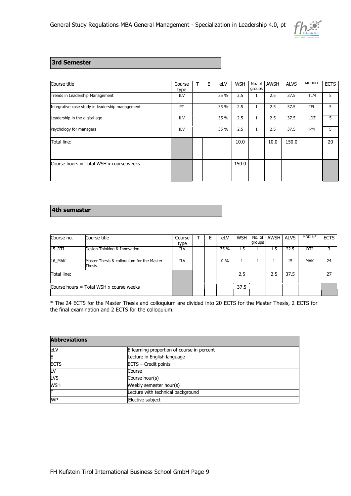

### **3rd Semester**

| Course title                                    | Course<br>type | E | eLV  | <b>WSH</b> | groups | No. of AWSH | <b>ALVS</b> | <b>MODULE</b> | <b>ECTS</b> |
|-------------------------------------------------|----------------|---|------|------------|--------|-------------|-------------|---------------|-------------|
| Trends in Leadership Management                 | ILV            |   | 35 % | 2.5        | 1      | 2.5         | 37.5        | <b>TLM</b>    | 5.          |
| Integrative case study in leadership management | PT             |   | 35 % | 2.5        | 1      | 2.5         | 37.5        | <b>IFL</b>    | 5.          |
| Leadership in the digital age                   | <b>ILV</b>     |   | 35 % | 2.5        | 1      | 2.5         | 37.5        | <b>LDZ</b>    | 5.          |
| Psychology for managers                         | ILV            |   | 35 % | 2.5        | 1      | 2.5         | 37.5        | <b>PM</b>     | 5.          |
| Total line:                                     |                |   |      | 10.0       |        | 10.0        | 150.0       |               | 20          |
| Course hours $=$ Total WSH x course weeks       |                |   |      | 150.0      |        |             |             |               |             |

#### **4th semester**

| Course no.  | Course title                                        | Course<br>type | F | eLV   | <b>WSH</b> | groups | No. of AWSH | <b>ALVS</b> | <b>MODULE</b> | <b>ECTS</b> |
|-------------|-----------------------------------------------------|----------------|---|-------|------------|--------|-------------|-------------|---------------|-------------|
| 15 DTI      | Design Thinking & Innovation                        | <b>ILV</b>     |   | 35 %  | 1.5        |        | 1.5         | 22.5        | DTI           |             |
| 16_MAK      | Master Thesis & colloquium for the Master<br>Thesis | ILV            |   | $0\%$ |            |        |             | 15          | <b>MAK</b>    | 24          |
| Total line: |                                                     |                |   |       | 2.5        |        | 2.5         | 37.5        |               | 27          |
|             | Course hours $=$ Total WSH x course weeks           |                |   |       | 37.5       |        |             |             |               |             |

\* The 24 ECTS for the Master Thesis and colloquium are divided into 20 ECTS for the Master Thesis, 2 ECTS for the final examination and 2 ECTS for the colloquium.

| <b>Abbreviations</b> |                                            |
|----------------------|--------------------------------------------|
| eLV                  | E-learning proportion of course in percent |
| E                    | Lecture in English language                |
| <b>ECTS</b>          | ECTS - Credit points                       |
| LV                   | Course                                     |
| <b>LVS</b>           | Course hour(s)                             |
| <b>WSH</b>           | Weekly semester hour(s)                    |
| П                    | Lecture with technical background          |
| <b>WP</b>            | Elective subject                           |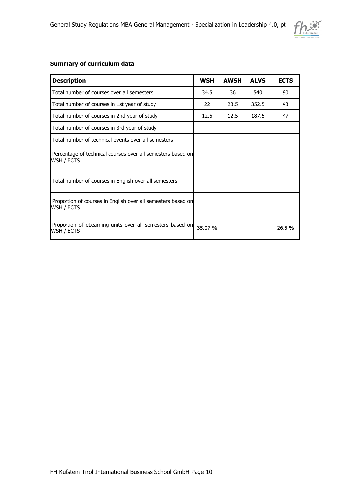

#### **Summary of curriculum data**

| <b>Description</b>                                                         | <b>WSH</b> | <b>AWSH</b> | <b>ALVS</b> | <b>ECTS</b> |
|----------------------------------------------------------------------------|------------|-------------|-------------|-------------|
| Total number of courses over all semesters                                 | 34.5       | 36          | 540         | 90          |
| Total number of courses in 1st year of study                               | 22         | 23.5        | 352.5       | 43          |
| Total number of courses in 2nd year of study                               | 12.5       | 12.5        | 187.5       | 47          |
| Total number of courses in 3rd year of study                               |            |             |             |             |
| Total number of technical events over all semesters                        |            |             |             |             |
| Percentage of technical courses over all semesters based on<br>WSH / ECTS  |            |             |             |             |
| Total number of courses in English over all semesters                      |            |             |             |             |
| Proportion of courses in English over all semesters based on<br>WSH / ECTS |            |             |             |             |
| Proportion of eLearning units over all semesters based on<br>WSH / ECTS    | 35.07 %    |             |             | 26.5 %      |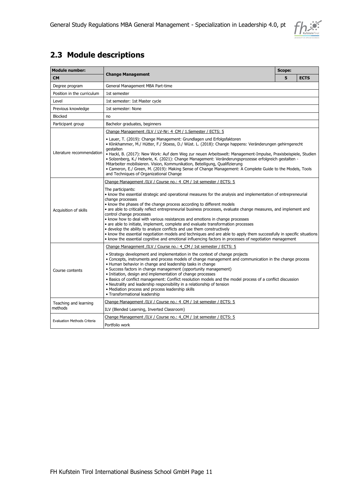

# <span id="page-10-0"></span>**2.3 Module descriptions**

| <b>Module number:</b>                                |                                                                                                                                                                                                                                                                                                                                                                                                                                                                                                                                                                                                                                                                                                                                                                                                                                                                     | <b>Scope:</b> |             |  |  |
|------------------------------------------------------|---------------------------------------------------------------------------------------------------------------------------------------------------------------------------------------------------------------------------------------------------------------------------------------------------------------------------------------------------------------------------------------------------------------------------------------------------------------------------------------------------------------------------------------------------------------------------------------------------------------------------------------------------------------------------------------------------------------------------------------------------------------------------------------------------------------------------------------------------------------------|---------------|-------------|--|--|
| <b>CM</b>                                            | <b>Change Management</b>                                                                                                                                                                                                                                                                                                                                                                                                                                                                                                                                                                                                                                                                                                                                                                                                                                            | 5             | <b>ECTS</b> |  |  |
| Degree program                                       | General Management MBA Part-time                                                                                                                                                                                                                                                                                                                                                                                                                                                                                                                                                                                                                                                                                                                                                                                                                                    |               |             |  |  |
| Position in the curriculum                           | 1st semester                                                                                                                                                                                                                                                                                                                                                                                                                                                                                                                                                                                                                                                                                                                                                                                                                                                        |               |             |  |  |
| Level                                                | 1st semester: 1st Master cycle                                                                                                                                                                                                                                                                                                                                                                                                                                                                                                                                                                                                                                                                                                                                                                                                                                      |               |             |  |  |
| Previous knowledge                                   | 1st semester: None                                                                                                                                                                                                                                                                                                                                                                                                                                                                                                                                                                                                                                                                                                                                                                                                                                                  |               |             |  |  |
| <b>Blocked</b>                                       | no                                                                                                                                                                                                                                                                                                                                                                                                                                                                                                                                                                                                                                                                                                                                                                                                                                                                  |               |             |  |  |
| Participant group                                    | Bachelor graduates, beginners                                                                                                                                                                                                                                                                                                                                                                                                                                                                                                                                                                                                                                                                                                                                                                                                                                       |               |             |  |  |
|                                                      | Change Management /ILV / LV-Nr: 4 CM / 1. Semester / ECTS: 5                                                                                                                                                                                                                                                                                                                                                                                                                                                                                                                                                                                                                                                                                                                                                                                                        |               |             |  |  |
| Literature recommendation                            | • Lauer, T. (2019): Change Management: Grundlagen und Erfolgsfaktoren<br>• Klinkhammer, M./ Hütter, F./ Stoess, D./ Wüst. L. (2018): Change happens: Veränderungen gehirngerecht<br>gestalten<br>• Hackl, B. (2017): New Work: Auf dem Weg zur neuen Arbeitswelt: Management-Impulse, Praxisbeispiele, Studien<br>• Solzenberg, K./ Heberle, K. (2021): Change Management: Veränderungsprozesse erfolgreich gestalten -<br>Mitarbeiter mobilisieren. Vision, Kommunikation, Beteiligung, Qualifizierung<br>• Cameron, E./ Green, M. (2019): Making Sense of Change Management: A Complete Guide to the Models, Tools<br>and Techniques of Organizational Change                                                                                                                                                                                                     |               |             |  |  |
|                                                      | Change Management /ILV / Course no.: 4 CM / 1st semester / ECTS: 5                                                                                                                                                                                                                                                                                                                                                                                                                                                                                                                                                                                                                                                                                                                                                                                                  |               |             |  |  |
| Acquisition of skills                                | The participants:<br>• know the essential strategic and operational measures for the analysis and implementation of entrepreneurial<br>change processes<br>• know the phases of the change process according to different models<br>• are able to critically reflect entrepreneurial business processes, evaluate change measures, and implement and<br>control change processes<br>• know how to deal with various resistances and emotions in change processes<br>• are able to initiate, implement, complete and evaluate transformation processes<br>• develop the ability to analyze conflicts and use them constructively<br>• know the essential negotiation models and techniques and are able to apply them successfully in specific situations<br>• know the essential cognitive and emotional influencing factors in processes of negotiation management |               |             |  |  |
|                                                      | Change Management /ILV / Course no.: 4 CM / 1st semester / ECTS: 5                                                                                                                                                                                                                                                                                                                                                                                                                                                                                                                                                                                                                                                                                                                                                                                                  |               |             |  |  |
| Course contents                                      | • Strategy development and implementation in the context of change projects<br>• Concepts, instruments and process models of change management and communication in the change process<br>. Human behavior in change and leadership tasks in change<br>• Success factors in change management (opportunity management)<br>· Initiation, design and implementation of change processes<br>· Basics of conflict management: Conflict resolution models and the model process of a conflict discussion<br>• Neutrality and leadership responsibility in a relationship of tension<br>• Mediation process and process leadership skills<br>• Transformational leadership                                                                                                                                                                                                |               |             |  |  |
| Teaching and learning                                | Change Management /ILV / Course no.: 4 CM / 1st semester / ECTS: 5                                                                                                                                                                                                                                                                                                                                                                                                                                                                                                                                                                                                                                                                                                                                                                                                  |               |             |  |  |
| methods                                              | ILV (Blended Learning, Inverted Classroom)                                                                                                                                                                                                                                                                                                                                                                                                                                                                                                                                                                                                                                                                                                                                                                                                                          |               |             |  |  |
|                                                      | Change Management /ILV / Course no.: 4_CM / 1st semester / ECTS: 5                                                                                                                                                                                                                                                                                                                                                                                                                                                                                                                                                                                                                                                                                                                                                                                                  |               |             |  |  |
| <b>Evaluation Methods Criteria</b><br>Portfolio work |                                                                                                                                                                                                                                                                                                                                                                                                                                                                                                                                                                                                                                                                                                                                                                                                                                                                     |               |             |  |  |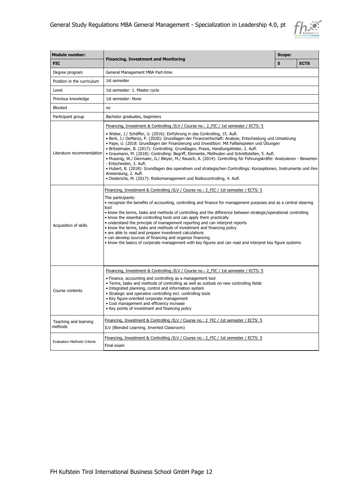

| <b>Module number:</b>                                                                                                                     |                                                                                                                                                                                                                                                                                                                                                                                                                                                                                                                                                                                                                                                                                                                                                                                                                                                                                                                                                  |   |             |  |  |
|-------------------------------------------------------------------------------------------------------------------------------------------|--------------------------------------------------------------------------------------------------------------------------------------------------------------------------------------------------------------------------------------------------------------------------------------------------------------------------------------------------------------------------------------------------------------------------------------------------------------------------------------------------------------------------------------------------------------------------------------------------------------------------------------------------------------------------------------------------------------------------------------------------------------------------------------------------------------------------------------------------------------------------------------------------------------------------------------------------|---|-------------|--|--|
| <b>FIC</b>                                                                                                                                | <b>Financing, Investment and Monitoring</b>                                                                                                                                                                                                                                                                                                                                                                                                                                                                                                                                                                                                                                                                                                                                                                                                                                                                                                      | 5 | <b>ECTS</b> |  |  |
| Degree program                                                                                                                            | General Management MBA Part-time                                                                                                                                                                                                                                                                                                                                                                                                                                                                                                                                                                                                                                                                                                                                                                                                                                                                                                                 |   |             |  |  |
| Position in the curriculum                                                                                                                | 1st semester                                                                                                                                                                                                                                                                                                                                                                                                                                                                                                                                                                                                                                                                                                                                                                                                                                                                                                                                     |   |             |  |  |
| Level                                                                                                                                     | 1st semester: 1. Master cycle                                                                                                                                                                                                                                                                                                                                                                                                                                                                                                                                                                                                                                                                                                                                                                                                                                                                                                                    |   |             |  |  |
| Previous knowledge                                                                                                                        | 1st semester: None                                                                                                                                                                                                                                                                                                                                                                                                                                                                                                                                                                                                                                                                                                                                                                                                                                                                                                                               |   |             |  |  |
| <b>Blocked</b>                                                                                                                            | no                                                                                                                                                                                                                                                                                                                                                                                                                                                                                                                                                                                                                                                                                                                                                                                                                                                                                                                                               |   |             |  |  |
| Participant group                                                                                                                         | Bachelor graduates, beginners                                                                                                                                                                                                                                                                                                                                                                                                                                                                                                                                                                                                                                                                                                                                                                                                                                                                                                                    |   |             |  |  |
| Literature recommendation                                                                                                                 | Financing, Investment & Controlling /ILV / Course no.: 2 FIC / 1st semester / ECTS: 5<br>· Weber, J./ Schäffer, U. (2016): Einführung in das Controlling, 15. Aufl.<br>· Berk, J./ DeMarzo, P. (2020): Grundlagen der Finanzwirtschaft: Analyse, Entscheidung und Umsetzung<br>. Pape, U. (2018: Grundlagen der Finanzierung und Investition: Mit Fallbeispielen und Übungen<br>· Britzelmaier, B. (2017): Controlling: Grundlagen, Praxis, Handlungsfelder, 2. Aufl.<br>· Graumann, M. (2018): Controlling: Begriff, Elemente, Methoden und Schnittstellen, 5. Aufl.<br>· Mussnig, W./ Giermaier, G./ Bleyer, M./ Rausch, A. (2014): Controlling für Führungskräfte: Analysieren - Bewerten<br>- Entscheiden, 3. Aufl.<br>· Hubert, B. (2018): Grundlagen des operativen und strategischen Controllings: Konzeptionen, Instrumente und ihre<br>Anwendung, 2. Aufl.<br>· Diederichs, M. (2017): Risikomanagement und Risikocontrolling, 4. Aufl. |   |             |  |  |
| Acquisition of skills                                                                                                                     | Financing, Investment & Controlling /ILV / Course no.: 2 FIC / 1st semester / ECTS: 5<br>The participants:<br>• recognize the benefits of accounting, controlling and finance for management purposes and as a central steering<br>tool<br>. know the terms, tasks and methods of controlling and the difference between strategic/operational controlling<br>• know the essential controlling tools and can apply them practically<br>• understand the principle of management reporting and can interpret reports<br>• know the terms, tasks and methods of investment and financing policy<br>• are able to read and prepare investment calculations<br>• can develop sources of financing and organize financing<br>. know the basics of corporate management with key figures and can read and interpret key figure systems                                                                                                                 |   |             |  |  |
| Course contents                                                                                                                           | Financing, Investment & Controlling /ILV / Course no.: 2 FIC / 1st semester / ECTS: 5<br>• Finance, accounting and controlling as a management tool<br>. Terms, tasks and methods of controlling as well as outlook on new controlling fields<br>• Integrated planning, control and information system<br>• Strategic and operative controlling incl. controlling tools<br>• Key figure-oriented corporate management<br>· Cost management and efficiency increase<br>• Key points of investment and financing policy                                                                                                                                                                                                                                                                                                                                                                                                                            |   |             |  |  |
| Teaching and learning<br>methods                                                                                                          | Financing, Investment & Controlling /ILV / Course no.: 2 FIC / 1st semester / ECTS: 5<br>ILV (Blended Learning, Inverted Classroom)                                                                                                                                                                                                                                                                                                                                                                                                                                                                                                                                                                                                                                                                                                                                                                                                              |   |             |  |  |
| Financing, Investment & Controlling /ILV / Course no.: 2 FIC / 1st semester / ECTS: 5<br><b>Evaluation Methods Criteria</b><br>Final exam |                                                                                                                                                                                                                                                                                                                                                                                                                                                                                                                                                                                                                                                                                                                                                                                                                                                                                                                                                  |   |             |  |  |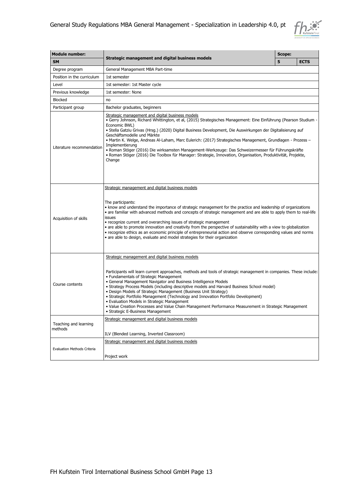

| <b>Module number:</b>            |                                                                                                                                                                                                                                                                                                                                                                                                                                                                                                                                                                                                                                                                                                                                          |   |             |
|----------------------------------|------------------------------------------------------------------------------------------------------------------------------------------------------------------------------------------------------------------------------------------------------------------------------------------------------------------------------------------------------------------------------------------------------------------------------------------------------------------------------------------------------------------------------------------------------------------------------------------------------------------------------------------------------------------------------------------------------------------------------------------|---|-------------|
| <b>SM</b>                        | Strategic management and digital business models                                                                                                                                                                                                                                                                                                                                                                                                                                                                                                                                                                                                                                                                                         | 5 | <b>ECTS</b> |
| Degree program                   | General Management MBA Part-time                                                                                                                                                                                                                                                                                                                                                                                                                                                                                                                                                                                                                                                                                                         |   |             |
| Position in the curriculum       | 1st semester                                                                                                                                                                                                                                                                                                                                                                                                                                                                                                                                                                                                                                                                                                                             |   |             |
| Level                            | 1st semester: 1st Master cycle                                                                                                                                                                                                                                                                                                                                                                                                                                                                                                                                                                                                                                                                                                           |   |             |
| Previous knowledge               | 1st semester: None                                                                                                                                                                                                                                                                                                                                                                                                                                                                                                                                                                                                                                                                                                                       |   |             |
| <b>Blocked</b>                   | no                                                                                                                                                                                                                                                                                                                                                                                                                                                                                                                                                                                                                                                                                                                                       |   |             |
| Participant group                | Bachelor graduates, beginners                                                                                                                                                                                                                                                                                                                                                                                                                                                                                                                                                                                                                                                                                                            |   |             |
| Literature recommendation        | Strategic management and digital business models<br>• Gerry Johnson, Richard Whittington, et al, (2015) Strategisches Management: Eine Einführung (Pearson Studium -<br>Economic BWL)<br>· Stella Gatziu Grivas (Hrsg.) (2020) Digital Business Development, Die Auswirkungen der Digitalisierung auf<br>Geschäftsmodelle und Märkte<br>• Martin K. Welge, Andreas Al-Laham, Marc Eulerich: (2017) Strategisches Management, Grundlagen - Prozess -<br>Implementierung<br>· Roman Stöger (2016) Die wirksamsten Management-Werkzeuge: Das Schweizermesser für Führungskräfte<br>• Roman Stöger (2016) Die Toolbox für Manager: Strategie, Innovation, Organisation, Produktivität, Projekte,<br>Change                                   |   |             |
| Acquisition of skills            | Strategic management and digital business models<br>The participants:<br>• know and understand the importance of strategic management for the practice and leadership of organizations<br>• are familiar with advanced methods and concepts of strategic management and are able to apply them to real-life<br>issues<br>• recognize current and overarching issues of strategic management<br>• are able to promote innovation and creativity from the perspective of sustainability with a view to globalization<br>• recognize ethics as an economic principle of entrepreneurial action and observe corresponding values and norms<br>• are able to design, evaluate and model strategies for their organization                     |   |             |
| Course contents                  | Strategic management and digital business models<br>Participants will learn current approaches, methods and tools of strategic management in companies. These include:<br>• Fundamentals of Strategic Management<br>• General Management Navigator and Business Intelligence Models<br>• Strategy Process Models (including descriptive models and Harvard Business School model)<br>• Design Models of Strategic Management (Business Unit Strategy)<br>• Strategic Portfolio Management (Technology and Innovation Portfolio Development)<br>• Evaluation Models in Strategic Management<br>• Value Creation Processes and Value Chain Management Performance Measurement in Strategic Management<br>• Strategic E-Business Management |   |             |
| Teaching and learning<br>methods | Strategic management and digital business models<br>ILV (Blended Learning, Inverted Classroom)                                                                                                                                                                                                                                                                                                                                                                                                                                                                                                                                                                                                                                           |   |             |
| Evaluation Methods Criteria      | Strategic management and digital business models<br>Project work                                                                                                                                                                                                                                                                                                                                                                                                                                                                                                                                                                                                                                                                         |   |             |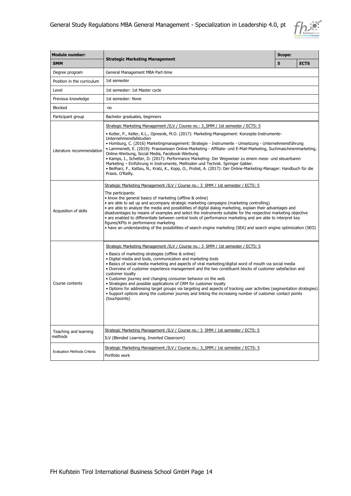

| <b>Module number:</b>              |                                                                                                                                                                                                                                                                                                                                                                                                                                                                                                                                                                                                                                                                                                                                                                                                                                                   | Scope: |             |  |  |
|------------------------------------|---------------------------------------------------------------------------------------------------------------------------------------------------------------------------------------------------------------------------------------------------------------------------------------------------------------------------------------------------------------------------------------------------------------------------------------------------------------------------------------------------------------------------------------------------------------------------------------------------------------------------------------------------------------------------------------------------------------------------------------------------------------------------------------------------------------------------------------------------|--------|-------------|--|--|
| <b>SMM</b>                         | <b>Strategic Marketing Management</b>                                                                                                                                                                                                                                                                                                                                                                                                                                                                                                                                                                                                                                                                                                                                                                                                             | 5      | <b>ECTS</b> |  |  |
| Degree program                     | General Management MBA Part-time                                                                                                                                                                                                                                                                                                                                                                                                                                                                                                                                                                                                                                                                                                                                                                                                                  |        |             |  |  |
| Position in the curriculum         | 1st semester                                                                                                                                                                                                                                                                                                                                                                                                                                                                                                                                                                                                                                                                                                                                                                                                                                      |        |             |  |  |
| Level                              | 1st semester: 1st Master cycle                                                                                                                                                                                                                                                                                                                                                                                                                                                                                                                                                                                                                                                                                                                                                                                                                    |        |             |  |  |
| Previous knowledge                 | 1st semester: None                                                                                                                                                                                                                                                                                                                                                                                                                                                                                                                                                                                                                                                                                                                                                                                                                                |        |             |  |  |
| <b>Blocked</b>                     | no                                                                                                                                                                                                                                                                                                                                                                                                                                                                                                                                                                                                                                                                                                                                                                                                                                                |        |             |  |  |
| Participant group                  | Bachelor graduates, beginners                                                                                                                                                                                                                                                                                                                                                                                                                                                                                                                                                                                                                                                                                                                                                                                                                     |        |             |  |  |
|                                    | Strategic Marketing Management /ILV / Course no.: 3 SMM / 1st semester / ECTS: 5                                                                                                                                                                                                                                                                                                                                                                                                                                                                                                                                                                                                                                                                                                                                                                  |        |             |  |  |
| Literature recommendation          | • Kotler, P., Keller, K.L., Opresnik, M.O. (2017): Marketing-Management: Konzepte-Instrumente-<br>Unternehmensfallstudien<br>Homburg, C. (2016) Marketingmanagement: Strategie - Instrumente - Umsetzung - Unternehmensführung •<br>• Lammenett, E. (2019): Praxiswissen Online-Marketing - Affiliate- und E-Mail-Marketing, Suchmaschinenmarketing,<br>Online-Werbung, Social Media, Facebook-Werbung<br>· Kamps, I., Schetter, D. (2017): Performance Marketing: Der Wegweiser zu einem mess- und steuerbaren<br>Marketing - Einführung in Instrumente, Methoden und Technik. Springer Gabler.<br>· Beilharz, F., Kattau, N., Kratz, K., Kopp, O., Probst, A. (2017): Der Online-Marketing-Manager: Handbuch für die<br>Praxis. O'Reilly.                                                                                                       |        |             |  |  |
| Acquisition of skills              | Strategic Marketing Management /ILV / Course no.: 3 SMM / 1st semester / ECTS: 5<br>The participants:<br>• know the general basics of marketing (offline & online)<br>• are able to set up and accompany strategic marketing campaigns (marketing controlling)<br>• are able to analyze the media and possibilities of digital dialog marketing, explain their advantages and<br>disadvantages by means of examples and select the instruments suitable for the respective marketing objective<br>• are enabled to differentiate between central tools of performance marketing and are able to interpret key<br>figures/KPIs in performance marketing<br>• have an understanding of the possibilities of search engine marketing (SEA) and search engine optimization (SEO)                                                                      |        |             |  |  |
| Course contents                    | Strategic Marketing Management /ILV / Course no.: 3 SMM / 1st semester / ECTS: 5<br>• Basics of marketing strategies (offline & online)<br>· Digital media and tools, communication and marketing tools<br>• Basics of social media marketing and aspects of viral marketing/digital word of mouth via social media<br>. Overview of customer experience management and the two constituent blocks of customer satisfaction and<br>customer loyalty<br>• Customer journey and changing consumer behavior on the web<br>• Strategies and possible applications of CRM for customer loyalty<br>. Options for addressing target groups via targeting and aspects of tracking user activities (segmentation strategies)<br>. Support options along the customer journey and linking the increasing number of customer contact points<br>(touchpoints) |        |             |  |  |
| Teaching and learning<br>methods   | Strategic Marketing Management /ILV / Course no.: 3 SMM / 1st semester / ECTS: 5<br>ILV (Blended Learning, Inverted Classroom)                                                                                                                                                                                                                                                                                                                                                                                                                                                                                                                                                                                                                                                                                                                    |        |             |  |  |
| <b>Evaluation Methods Criteria</b> | Strategic Marketing Management /ILV / Course no.: 3 SMM / 1st semester / ECTS: 5<br>Portfolio work                                                                                                                                                                                                                                                                                                                                                                                                                                                                                                                                                                                                                                                                                                                                                |        |             |  |  |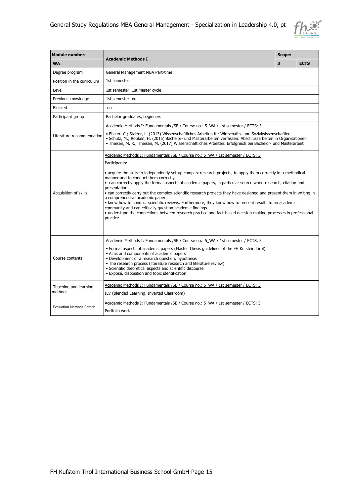

| <b>Module number:</b>              | <b>Scope:</b>                                                                                                                                                                                                                                                                                                                                                                                                                                                                                                                                                                                                                                                                                                                                                                                                                                                 |   |             |  |  |
|------------------------------------|---------------------------------------------------------------------------------------------------------------------------------------------------------------------------------------------------------------------------------------------------------------------------------------------------------------------------------------------------------------------------------------------------------------------------------------------------------------------------------------------------------------------------------------------------------------------------------------------------------------------------------------------------------------------------------------------------------------------------------------------------------------------------------------------------------------------------------------------------------------|---|-------------|--|--|
| <b>WA</b>                          | <b>Academic Methods I</b>                                                                                                                                                                                                                                                                                                                                                                                                                                                                                                                                                                                                                                                                                                                                                                                                                                     | 3 | <b>ECTS</b> |  |  |
| Degree program                     | General Management MBA Part-time                                                                                                                                                                                                                                                                                                                                                                                                                                                                                                                                                                                                                                                                                                                                                                                                                              |   |             |  |  |
| Position in the curriculum         | 1st semester                                                                                                                                                                                                                                                                                                                                                                                                                                                                                                                                                                                                                                                                                                                                                                                                                                                  |   |             |  |  |
| Level                              | 1st semester: 1st Master cycle                                                                                                                                                                                                                                                                                                                                                                                                                                                                                                                                                                                                                                                                                                                                                                                                                                |   |             |  |  |
| Previous knowledge                 | 1st semester: no                                                                                                                                                                                                                                                                                                                                                                                                                                                                                                                                                                                                                                                                                                                                                                                                                                              |   |             |  |  |
| <b>Blocked</b>                     | no                                                                                                                                                                                                                                                                                                                                                                                                                                                                                                                                                                                                                                                                                                                                                                                                                                                            |   |             |  |  |
| Participant group                  | Bachelor graduates, beginners                                                                                                                                                                                                                                                                                                                                                                                                                                                                                                                                                                                                                                                                                                                                                                                                                                 |   |             |  |  |
| Literature recommendation          | Academic Methods I: Fundamentals / SE / Course no.: 5 WA / 1st semester / ECTS: 3<br>· Ebster, C.; Stalzer, L. (2013) Wissenschaftliches Arbeiten für Wirtschafts- und Sozialwissenschaftler<br>· Schütz, M.; Röbken, H. (2016) Bachelor- und Masterarbeiten verfassen: Abschlussarbeiten in Organisationen<br>• Theisen, M. R.; Theisen, M. (2017) Wissenschaftliches Arbeiten: Erfolgreich bei Bachelor- und Masterarbeit                                                                                                                                                                                                                                                                                                                                                                                                                                   |   |             |  |  |
| Acquisition of skills              | Academic Methods I: Fundamentals / SE / Course no.: 5_WA / 1st semester / ECTS: 3<br>Participants:<br>• acquire the skills to independently set up complex research projects, to apply them correctly in a methodical<br>manner and to conduct them correctly<br>• can correctly apply the formal aspects of academic papers, in particular source work, research, citation and<br>presentation<br>• can correctly carry out the complex scientific research projects they have designed and present them in writing in<br>a comprehensive academic paper<br>. know how to conduct scientific reviews. Furthermore, they know how to present results to an academic<br>community and can critically question academic findings<br>• understand the connections between research practice and fact-based decision-making processes in professional<br>practice |   |             |  |  |
| Course contents                    | Academic Methods I: Fundamentals / SE / Course no.: 5 WA / 1st semester / ECTS: 3<br>• Formal aspects of academic papers (Master Thesis guidelines of the FH Kufstein Tirol)<br>• Aims and components of academic papers<br>• Development of a research question, hypothesis<br>• The research process (literature research and literature review)<br>· Scientific theoretical aspects and scientific discourse<br>· Exposé, disposition and topic identification                                                                                                                                                                                                                                                                                                                                                                                             |   |             |  |  |
| Teaching and learning<br>methods   | Academic Methods I: Fundamentals / SE / Course no.: 5 WA / 1st semester / ECTS: 3<br>ILV (Blended Learning, Inverted Classroom)                                                                                                                                                                                                                                                                                                                                                                                                                                                                                                                                                                                                                                                                                                                               |   |             |  |  |
| <b>Evaluation Methods Criteria</b> | Academic Methods I: Fundamentals / SE / Course no.: 5 WA / 1st semester / ECTS: 3<br>Portfolio work                                                                                                                                                                                                                                                                                                                                                                                                                                                                                                                                                                                                                                                                                                                                                           |   |             |  |  |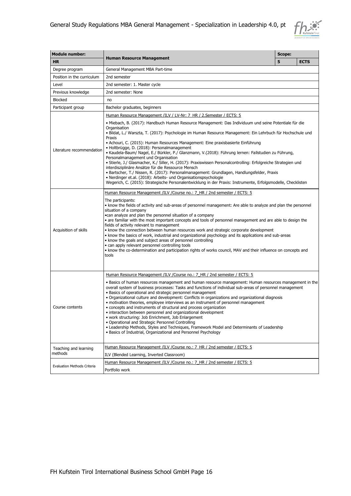

| <b>Module number:</b>       |                                                                                                                                                                                                                                                                                                                                                                                                                                                                                                                                                                                                                                                                                                                                                                                                                                                                                                                                                                                               | Scope: |             |  |  |
|-----------------------------|-----------------------------------------------------------------------------------------------------------------------------------------------------------------------------------------------------------------------------------------------------------------------------------------------------------------------------------------------------------------------------------------------------------------------------------------------------------------------------------------------------------------------------------------------------------------------------------------------------------------------------------------------------------------------------------------------------------------------------------------------------------------------------------------------------------------------------------------------------------------------------------------------------------------------------------------------------------------------------------------------|--------|-------------|--|--|
| <b>HR</b>                   | <b>Human Resource Management</b>                                                                                                                                                                                                                                                                                                                                                                                                                                                                                                                                                                                                                                                                                                                                                                                                                                                                                                                                                              | 5      | <b>ECTS</b> |  |  |
| Degree program              | General Management MBA Part-time                                                                                                                                                                                                                                                                                                                                                                                                                                                                                                                                                                                                                                                                                                                                                                                                                                                                                                                                                              |        |             |  |  |
| Position in the curriculum  | 2nd semester                                                                                                                                                                                                                                                                                                                                                                                                                                                                                                                                                                                                                                                                                                                                                                                                                                                                                                                                                                                  |        |             |  |  |
| Level                       | 2nd semester: 1. Master cycle                                                                                                                                                                                                                                                                                                                                                                                                                                                                                                                                                                                                                                                                                                                                                                                                                                                                                                                                                                 |        |             |  |  |
| Previous knowledge          | 2nd semester: None                                                                                                                                                                                                                                                                                                                                                                                                                                                                                                                                                                                                                                                                                                                                                                                                                                                                                                                                                                            |        |             |  |  |
| <b>Blocked</b>              | no                                                                                                                                                                                                                                                                                                                                                                                                                                                                                                                                                                                                                                                                                                                                                                                                                                                                                                                                                                                            |        |             |  |  |
| Participant group           | Bachelor graduates, beginners                                                                                                                                                                                                                                                                                                                                                                                                                                                                                                                                                                                                                                                                                                                                                                                                                                                                                                                                                                 |        |             |  |  |
|                             | Human Resource Management /ILV / LV-Nr: 7 HR / 2. Semester / ECTS: 5                                                                                                                                                                                                                                                                                                                                                                                                                                                                                                                                                                                                                                                                                                                                                                                                                                                                                                                          |        |             |  |  |
| Literature recommendation   | • Miebach, B. (2017): Handbuch Human Resource Management: Das Individuum und seine Potentiale für die<br>Organisation<br>· Bildat, L./ Warszta, T. (2017): Psychologie im Human Resource Management: Ein Lehrbuch für Hochschule und<br>Praxis<br>• Achouri, C. (2015): Human Resources Management: Eine praxisbasierte Einführung<br>· Holtbrügge, D. (2018): Personalmanagement<br>· Kaudela-Baum/ Nagel, E./ Bürkler, P./ Glanzmann, V.(2018): Führung lernen: Fallstudien zu Führung,<br>Personalmanagement und Organisation<br>• Stierle, J./ Glasmacher, K./ Siller, H. (2017): Praxiswissen Personalcontrolling: Erfolgreiche Strategien und<br>interdisziplinäre Ansätze für die Ressource Mensch<br>• Bartscher, T./ Nissen, R. (2017): Personalmanagement: Grundlagen, Handlungsfelder, Praxis<br>• Nerdinger et.al. (2018): Arbeits- und Organisationspsychologie<br>Wegerich, C. (2015): Strategische Personalentwicklung in der Praxis: Instrumente, Erfolgsmodelle, Checklisten |        |             |  |  |
|                             | Human Resource Management /ILV / Course no.: 7 HR / 2nd semester / ECTS: 5                                                                                                                                                                                                                                                                                                                                                                                                                                                                                                                                                                                                                                                                                                                                                                                                                                                                                                                    |        |             |  |  |
| Acquisition of skills       | The participants:<br>. know the fields of activity and sub-areas of personnel management: Are able to analyze and plan the personnel<br>situation of a company<br>•can analyze and plan the personnel situation of a company<br>• are familiar with the most important concepts and tools of personnel management and are able to design the<br>fields of activity relevant to management<br>• know the connection between human resources work and strategic corporate development<br>• know the basics of work, industrial and organizational psychology and its applications and sub-areas<br>• know the goals and subject areas of personnel controlling<br>• can apply relevant personnel controlling tools<br>• know the co-determination and participation rights of works council, MAV and their influence on concepts and<br>tools                                                                                                                                                   |        |             |  |  |
|                             | Human Resource Management /ILV / Course no.: 7 HR / 2nd semester / ECTS: 5                                                                                                                                                                                                                                                                                                                                                                                                                                                                                                                                                                                                                                                                                                                                                                                                                                                                                                                    |        |             |  |  |
| Course contents             | • Basics of human resources management and human resource management: Human resources management in the<br>overall system of business processes: Tasks and functions of individual sub-areas of personnel management<br>• Basics of operational and strategic personnel management<br>• Organizational culture and development: Conflicts in organizations and organizational diagnosis<br>• motivation theories, employee interviews as an instrument of personnel management<br>• concepts and instruments of structural and process organization<br>• interaction between personnel and organizational development<br>• work structuring: Job Enrichment, Job Enlargement<br>• Operational and Strategic Personnel Controlling<br>• Leadership Methods, Styles and Techniques, Framework Model and Determinants of Leadership<br>• Basics of Industrial, Organizational and Personnel Psychology                                                                                           |        |             |  |  |
| Teaching and learning       | Human Resource Management /ILV / Course no.: 7_HR / 2nd semester / ECTS: 5                                                                                                                                                                                                                                                                                                                                                                                                                                                                                                                                                                                                                                                                                                                                                                                                                                                                                                                    |        |             |  |  |
| methods                     | ILV (Blended Learning, Inverted Classroom)                                                                                                                                                                                                                                                                                                                                                                                                                                                                                                                                                                                                                                                                                                                                                                                                                                                                                                                                                    |        |             |  |  |
| Evaluation Methods Criteria | Human Resource Management /ILV / Course no.: 7 HR / 2nd semester / ECTS: 5<br>Portfolio work                                                                                                                                                                                                                                                                                                                                                                                                                                                                                                                                                                                                                                                                                                                                                                                                                                                                                                  |        |             |  |  |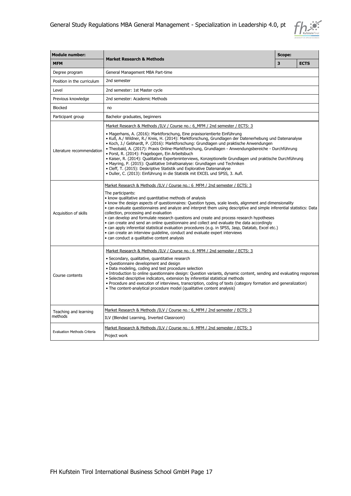

| <b>Module number:</b>            |                                                                                                                                                                                                                                                                                                                                                                                                                                                                                                                                                                                                                                                                                                                                                                                                                                                                                | Scope: |             |  |
|----------------------------------|--------------------------------------------------------------------------------------------------------------------------------------------------------------------------------------------------------------------------------------------------------------------------------------------------------------------------------------------------------------------------------------------------------------------------------------------------------------------------------------------------------------------------------------------------------------------------------------------------------------------------------------------------------------------------------------------------------------------------------------------------------------------------------------------------------------------------------------------------------------------------------|--------|-------------|--|
| <b>MFM</b>                       | <b>Market Research &amp; Methods</b>                                                                                                                                                                                                                                                                                                                                                                                                                                                                                                                                                                                                                                                                                                                                                                                                                                           | 3      | <b>ECTS</b> |  |
| Degree program                   | General Management MBA Part-time                                                                                                                                                                                                                                                                                                                                                                                                                                                                                                                                                                                                                                                                                                                                                                                                                                               |        |             |  |
| Position in the curriculum       | 2nd semester                                                                                                                                                                                                                                                                                                                                                                                                                                                                                                                                                                                                                                                                                                                                                                                                                                                                   |        |             |  |
| Level                            | 2nd semester: 1st Master cycle                                                                                                                                                                                                                                                                                                                                                                                                                                                                                                                                                                                                                                                                                                                                                                                                                                                 |        |             |  |
| Previous knowledge               | 2nd semester: Academic Methods                                                                                                                                                                                                                                                                                                                                                                                                                                                                                                                                                                                                                                                                                                                                                                                                                                                 |        |             |  |
| <b>Blocked</b>                   | no                                                                                                                                                                                                                                                                                                                                                                                                                                                                                                                                                                                                                                                                                                                                                                                                                                                                             |        |             |  |
| Participant group                | Bachelor graduates, beginners                                                                                                                                                                                                                                                                                                                                                                                                                                                                                                                                                                                                                                                                                                                                                                                                                                                  |        |             |  |
| Literature recommendation        | Market Research & Methods /ILV / Course no.: 6 MFM / 2nd semester / ECTS: 3<br>• Magerhans, A. (2016): Marktforschung, Eine praxisorientierte Einführung<br>• Kuß, A./ Wildner, R./ Kreis, H. (2014): Marktforschung, Grundlagen der Datenerhebung und Datenanalyse<br>• Koch, J./ Gebhardt, P. (2016): Marktforschung: Grundlagen und praktische Anwendungen<br>· Theobald, A. (2017): Praxis Online-Marktforschung, Grundlagen - Anwendungsbereiche - Durchführung<br>· Porst, R. (2014): Fragebogen, Ein Arbeitsbuch<br>· Kaiser, R. (2014): Qualitative Experteninterviews, Konzeptionelle Grundlagen und praktische Durchführung<br>• Mayring, P. (2015): Qualitative Inhaltsanalyse: Grundlagen und Techniken<br>• Cleff, T. (2015): Deskriptive Statistik und Explorative Datenanalyse<br>· Duller, C. (2013): Einführung in die Statistik mit EXCEL und SPSS, 3. Aufl. |        |             |  |
| Acquisition of skills            | Market Research & Methods /ILV / Course no.: 6 MFM / 2nd semester / ECTS: 3<br>The participants:<br>• know qualitative and quantitative methods of analysis<br>• know the design aspects of questionnaires: Question types, scale levels, alignment and dimensionality<br>• can evaluate questionnaires and analyze and interpret them using descriptive and simple inferential statistics: Data<br>collection, processing and evaluation<br>• can develop and formulate research questions and create and process research hypotheses<br>• can create and send an online questionnaire and collect and evaluate the data accordingly<br>· can apply inferential statistical evaluation procedures (e.g. in SPSS, Jasp, Datatab, Excel etc.)<br>• can create an interview quideline, conduct and evaluate expert interviews<br>· can conduct a qualitative content analysis    |        |             |  |
| Course contents                  | Market Research & Methods /ILV / Course no.: 6 MFM / 2nd semester / ECTS: 3<br>• Secondary, qualitative, quantitative research<br>· Questionnaire development and design<br>• Data modeling, coding and test procedure selection<br>• Introduction to online questionnaire design: Question variants, dynamic content, sending and evaluating responses<br>· Selected descriptive indicators, extension by inferential statistical methods<br>. Procedure and execution of interviews, transcription, coding of texts (category formation and generalization)<br>• The content-analytical procedure model (qualitative content analysis)                                                                                                                                                                                                                                       |        |             |  |
| Teaching and learning<br>methods | Market Research & Methods /ILV / Course no.: 6 MFM / 2nd semester / ECTS: 3<br>ILV (Blended Learning, Inverted Classroom)                                                                                                                                                                                                                                                                                                                                                                                                                                                                                                                                                                                                                                                                                                                                                      |        |             |  |
| Evaluation Methods Criteria      | Market Research & Methods /ILV / Course no.: 6 MFM / 2nd semester / ECTS: 3<br>Project work                                                                                                                                                                                                                                                                                                                                                                                                                                                                                                                                                                                                                                                                                                                                                                                    |        |             |  |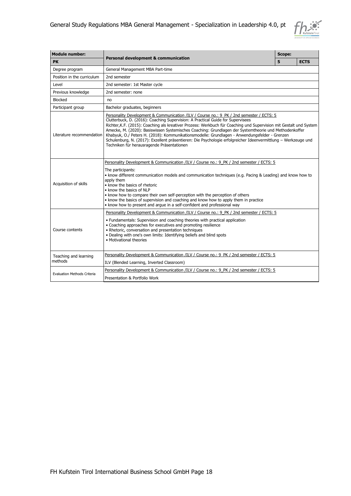

| <b>Module number:</b>              |                                                                                                                                                                                                                                                                                                                                                                                                                                                                                                                                                                                                                                                                             | Scope: |             |  |
|------------------------------------|-----------------------------------------------------------------------------------------------------------------------------------------------------------------------------------------------------------------------------------------------------------------------------------------------------------------------------------------------------------------------------------------------------------------------------------------------------------------------------------------------------------------------------------------------------------------------------------------------------------------------------------------------------------------------------|--------|-------------|--|
| <b>PK</b>                          | Personal development & communication                                                                                                                                                                                                                                                                                                                                                                                                                                                                                                                                                                                                                                        | 5      | <b>ECTS</b> |  |
| Degree program                     | General Management MBA Part-time                                                                                                                                                                                                                                                                                                                                                                                                                                                                                                                                                                                                                                            |        |             |  |
| Position in the curriculum         | 2nd semester                                                                                                                                                                                                                                                                                                                                                                                                                                                                                                                                                                                                                                                                |        |             |  |
| Level                              | 2nd semester: 1st Master cycle                                                                                                                                                                                                                                                                                                                                                                                                                                                                                                                                                                                                                                              |        |             |  |
| Previous knowledge                 | 2nd semester: none                                                                                                                                                                                                                                                                                                                                                                                                                                                                                                                                                                                                                                                          |        |             |  |
| <b>Blocked</b>                     | no                                                                                                                                                                                                                                                                                                                                                                                                                                                                                                                                                                                                                                                                          |        |             |  |
| Participant group                  | Bachelor graduates, beginners                                                                                                                                                                                                                                                                                                                                                                                                                                                                                                                                                                                                                                               |        |             |  |
| Literature recommendation          | Personality Development & Communication /ILV / Course no.: 9 PK / 2nd semester / ECTS: 5<br>Clutterbuck, D. (2016): Coaching Supervision: A Practical Guide for Supervisees<br>Richter, K.F. (2015): Coaching als kreativer Prozess: Werkbuch für Coaching und Supervision mit Gestalt und System<br>Amecke, M. (2020): Basiswissen Systemisches Coaching: Grundlagen der Systemtheorie und Methodenkoffer<br>Khabyuk, O./ Peters H. (2018): Kommunikationsmodelle: Grundlagen - Anwendungsfelder - Grenzen<br>Schulenburg, N. (2017): Exzellent präsentieren: Die Psychologie erfolgreicher Ideenvermittlung - Werkzeuge und<br>Techniken für herausragende Präsentationen |        |             |  |
| Acquisition of skills              | Personality Development & Communication /ILV / Course no.: 9 PK / 2nd semester / ECTS: 5<br>The participants:<br>. know different communication models and communication techniques (e.g. Pacing & Leading) and know how to<br>apply them<br>• know the basics of rhetoric<br>• know the basics of NLP<br>• know how to compare their own self-perception with the perception of others<br>. know the basics of supervision and coaching and know how to apply them in practice<br>• know how to present and arque in a self-confident and professional way                                                                                                                 |        |             |  |
| Course contents                    | Personality Development & Communication /ILV / Course no.: 9 PK / 2nd semester / ECTS: 5<br>• Fundamentals: Supervision and coaching theories with practical application<br>• Coaching approaches for executives and promoting resilience<br>• Rhetoric, conversation and presentation techniques<br>. Dealing with one's own limits: Identifying beliefs and blind spots<br>• Motivational theories                                                                                                                                                                                                                                                                        |        |             |  |
| Teaching and learning<br>methods   | Personality Development & Communication /ILV / Course no.: 9 PK / 2nd semester / ECTS: 5                                                                                                                                                                                                                                                                                                                                                                                                                                                                                                                                                                                    |        |             |  |
|                                    | ILV (Blended Learning, Inverted Classroom)                                                                                                                                                                                                                                                                                                                                                                                                                                                                                                                                                                                                                                  |        |             |  |
|                                    | Personality Development & Communication /ILV / Course no.: 9 PK / 2nd semester / ECTS: 5                                                                                                                                                                                                                                                                                                                                                                                                                                                                                                                                                                                    |        |             |  |
| <b>Evaluation Methods Criteria</b> | Presentation & Portfolio Work                                                                                                                                                                                                                                                                                                                                                                                                                                                                                                                                                                                                                                               |        |             |  |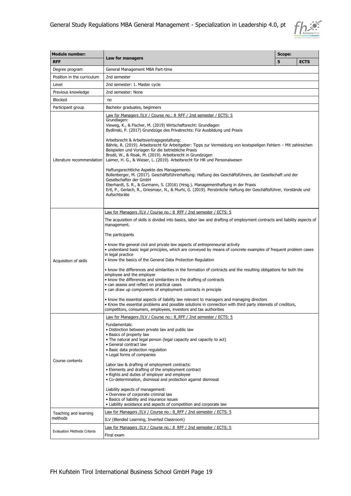

| <b>Module number:</b>       |                                                                                                                                                                                                                                                                                                                                                                                                                                                                                                                                                                                                                                                                                                                                                                                                                                                                                                                                                                                                                                                                                | Scope: |             |  |
|-----------------------------|--------------------------------------------------------------------------------------------------------------------------------------------------------------------------------------------------------------------------------------------------------------------------------------------------------------------------------------------------------------------------------------------------------------------------------------------------------------------------------------------------------------------------------------------------------------------------------------------------------------------------------------------------------------------------------------------------------------------------------------------------------------------------------------------------------------------------------------------------------------------------------------------------------------------------------------------------------------------------------------------------------------------------------------------------------------------------------|--------|-------------|--|
| <b>RFF</b>                  | Law for managers                                                                                                                                                                                                                                                                                                                                                                                                                                                                                                                                                                                                                                                                                                                                                                                                                                                                                                                                                                                                                                                               | 5      | <b>ECTS</b> |  |
| Degree program              | General Management MBA Part-time                                                                                                                                                                                                                                                                                                                                                                                                                                                                                                                                                                                                                                                                                                                                                                                                                                                                                                                                                                                                                                               |        |             |  |
| Position in the curriculum  | 2nd semester                                                                                                                                                                                                                                                                                                                                                                                                                                                                                                                                                                                                                                                                                                                                                                                                                                                                                                                                                                                                                                                                   |        |             |  |
| Level                       | 2nd semester: 1. Master cycle                                                                                                                                                                                                                                                                                                                                                                                                                                                                                                                                                                                                                                                                                                                                                                                                                                                                                                                                                                                                                                                  |        |             |  |
| Previous knowledge          | 2nd semester: None                                                                                                                                                                                                                                                                                                                                                                                                                                                                                                                                                                                                                                                                                                                                                                                                                                                                                                                                                                                                                                                             |        |             |  |
| <b>Blocked</b>              | no                                                                                                                                                                                                                                                                                                                                                                                                                                                                                                                                                                                                                                                                                                                                                                                                                                                                                                                                                                                                                                                                             |        |             |  |
| Participant group           | Bachelor graduates, beginners                                                                                                                                                                                                                                                                                                                                                                                                                                                                                                                                                                                                                                                                                                                                                                                                                                                                                                                                                                                                                                                  |        |             |  |
| Literature recommendation   | Law for Managers /ILV / Course no.: 8 RFF / 2nd semester / ECTS: 5<br>Grundlagen:<br>Vieweg, K., & Fischer, M. (2019) Wirtschaftsrecht: Grundlagen<br>Bydlinski, P. (2017) Grundzüge des Privatrechts: Für Ausbildung und Praxis<br>Arbeitsrecht & Arbeitsvertragsgestaltung:<br>Bährle, R. (2019). Arbeitsrecht für Arbeitgeber: Tipps zur Vermeidung von kostspieligen Fehlern – Mit zahlreichen<br>Beispielen und Vorlagen für die betriebliche Praxis<br>Brodil, W., & Risak, M. (2019). Arbeitsrecht in Grundzügen<br>Laimer, H. G., & Wieser, L. (2019). Arbeitsrecht für HR und Personalwesen<br>Haftungsrechtliche Aspekte des Managements:<br>Bollenberger, M. (2017). Geschäftsführerhaftung: Haftung des Geschäftsführers, der Gesellschaft und der<br>Gesellschafter der GmbH<br>Eberhardt, S. R., & Gurmann, S. (2016) (Hrsg.). Managementhaftung in der Praxis<br>Ertl, P., Gerlach, R., Griesmayr, N., & Murhi, G. (2019). Persönliche Haftung der Geschäftsführer, Vorstände und<br>Aufsichtsräte                                                              |        |             |  |
| Acquisition of skills       | Law for Managers /ILV / Course no.: 8 RFF / 2nd semester / ECTS: 5<br>The acquisition of skills is divided into basics, labor law and drafting of employment contracts and liability aspects of<br>management.<br>The participants<br>• know the general civil and private law aspects of entrepreneurial activity<br>• understand basic legal principles, which are conveyed by means of concrete examples of frequent problem cases<br>in legal practice<br>• know the basics of the General Data Protection Regulation<br>• know the differences and similarities in the formation of contracts and the resulting obligations for both the<br>employee and the employer<br>• know the differences and similarities in the drafting of contracts<br>• can assess and reflect on practical cases<br>• can draw up components of employment contracts in principle<br>• know the essential aspects of liability law relevant to managers and managing directors<br>. Know the essential problems and possible solutions in connection with third party interests of creditors, |        |             |  |
| Course contents             | competitors, consumers, employees, investors and tax authorities<br>Law for Managers /ILV / Course no.: 8 RFF / 2nd semester / ECTS: 5<br>Fundamentals:<br>· Distinction between private law and public law<br>• Basics of property law<br>• The natural and legal person (legal capacity and capacity to act)<br>• General contract law<br>· Basic data protection regulation<br>• Legal forms of companies<br>Labor law & drafting of employment contracts:<br>• Elements and drafting of the employment contract<br>• Rights and duties of employer and employee<br>• Co-determination, dismissal and protection against dismissal<br>Liability aspects of management:<br>· Overview of corporate criminal law<br>• Basics of liability and insurance issues<br>• Liability avoidance and aspects of competition and corporate law                                                                                                                                                                                                                                          |        |             |  |
| Teaching and learning       | Law for Managers /ILV / Course no.: 8 RFF / 2nd semester / ECTS: 5                                                                                                                                                                                                                                                                                                                                                                                                                                                                                                                                                                                                                                                                                                                                                                                                                                                                                                                                                                                                             |        |             |  |
| methods                     | ILV (Blended Learning, Inverted Classroom)                                                                                                                                                                                                                                                                                                                                                                                                                                                                                                                                                                                                                                                                                                                                                                                                                                                                                                                                                                                                                                     |        |             |  |
| Evaluation Methods Criteria | Law for Managers /ILV / Course no.: 8_RFF / 2nd semester / ECTS: 5                                                                                                                                                                                                                                                                                                                                                                                                                                                                                                                                                                                                                                                                                                                                                                                                                                                                                                                                                                                                             |        |             |  |
|                             | Final exam                                                                                                                                                                                                                                                                                                                                                                                                                                                                                                                                                                                                                                                                                                                                                                                                                                                                                                                                                                                                                                                                     |        |             |  |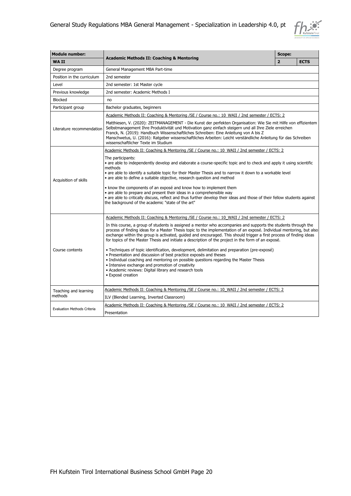

| <b>Module number:</b>              |                                                                                                                                                                                                                                                                                                                                                                                                                                                                                                                                                                                                                                                                                                                                                                                                                                                                                                                                                                        | Scope:         |             |  |
|------------------------------------|------------------------------------------------------------------------------------------------------------------------------------------------------------------------------------------------------------------------------------------------------------------------------------------------------------------------------------------------------------------------------------------------------------------------------------------------------------------------------------------------------------------------------------------------------------------------------------------------------------------------------------------------------------------------------------------------------------------------------------------------------------------------------------------------------------------------------------------------------------------------------------------------------------------------------------------------------------------------|----------------|-------------|--|
| <b>WAII</b>                        | <b>Academic Methods II: Coaching &amp; Mentoring</b>                                                                                                                                                                                                                                                                                                                                                                                                                                                                                                                                                                                                                                                                                                                                                                                                                                                                                                                   | $\overline{2}$ | <b>ECTS</b> |  |
| Degree program                     | General Management MBA Part-time                                                                                                                                                                                                                                                                                                                                                                                                                                                                                                                                                                                                                                                                                                                                                                                                                                                                                                                                       |                |             |  |
| Position in the curriculum         | 2nd semester                                                                                                                                                                                                                                                                                                                                                                                                                                                                                                                                                                                                                                                                                                                                                                                                                                                                                                                                                           |                |             |  |
| Level                              | 2nd semester: 1st Master cycle                                                                                                                                                                                                                                                                                                                                                                                                                                                                                                                                                                                                                                                                                                                                                                                                                                                                                                                                         |                |             |  |
| Previous knowledge                 | 2nd semester: Academic Methods I                                                                                                                                                                                                                                                                                                                                                                                                                                                                                                                                                                                                                                                                                                                                                                                                                                                                                                                                       |                |             |  |
| Blocked                            | no                                                                                                                                                                                                                                                                                                                                                                                                                                                                                                                                                                                                                                                                                                                                                                                                                                                                                                                                                                     |                |             |  |
| Participant group                  | Bachelor graduates, beginners                                                                                                                                                                                                                                                                                                                                                                                                                                                                                                                                                                                                                                                                                                                                                                                                                                                                                                                                          |                |             |  |
|                                    | Academic Methods II: Coaching & Mentoring / SE / Course no.: 10 WAII / 2nd semester / ECTS: 2                                                                                                                                                                                                                                                                                                                                                                                                                                                                                                                                                                                                                                                                                                                                                                                                                                                                          |                |             |  |
| Literature recommendation          | Matthiesen, V. (2020): ZEITMANAGEMENT - Die Kunst der perfekten Organisation: Wie Sie mit Hilfe von effizientem<br>Selbstmanagement Ihre Produktivität und Motivation ganz einfach steigern und all Ihre Ziele erreichen<br>Franck, N. (2019): Handbuch Wissenschaftliches Schreiben: Eine Anleitung von A bis Z<br>Manschwetus, U. (2016): Ratgeber wissenschaftliches Arbeiten: Leicht verständliche Anleitung für das Schreiben<br>wissenschaftlicher Texte im Studium                                                                                                                                                                                                                                                                                                                                                                                                                                                                                              |                |             |  |
|                                    | Academic Methods II: Coaching & Mentoring /SE / Course no.: 10 WAII / 2nd semester / ECTS: 2                                                                                                                                                                                                                                                                                                                                                                                                                                                                                                                                                                                                                                                                                                                                                                                                                                                                           |                |             |  |
| Acquisition of skills              | The participants:<br>• are able to independently develop and elaborate a course-specific topic and to check and apply it using scientific<br>methods<br>• are able to identify a suitable topic for their Master Thesis and to narrow it down to a workable level<br>• are able to define a suitable objective, research question and method<br>• know the components of an exposé and know how to implement them<br>• are able to prepare and present their ideas in a comprehensible way<br>• are able to critically discuss, reflect and thus further develop their ideas and those of their fellow students against<br>the background of the academic "state of the art"                                                                                                                                                                                                                                                                                           |                |             |  |
| Course contents                    | Academic Methods II: Coaching & Mentoring /SE / Course no.: 10 WAII / 2nd semester / ECTS: 2<br>In this course, a group of students is assigned a mentor who accompanies and supports the students through the<br>process of finding ideas for a Master Thesis topic to the implementation of an exposé. Individual mentoring, but also<br>exchange within the group is activated, guided and encouraged. This should trigger a first process of finding ideas<br>for topics of the Master Thesis and initiate a description of the project in the form of an exposé.<br>• Techniques of topic identification, development, delimitation and preparation (pre-exposé)<br>• Presentation and discussion of best practice exposés and theses<br>• Individual coaching and mentoring on possible guestions regarding the Master Thesis<br>• Intensive exchange and promotion of creativity<br>• Academic reviews: Digital library and research tools<br>· Exposé creation |                |             |  |
| Teaching and learning              | Academic Methods II: Coaching & Mentoring / SE / Course no.: 10 WAII / 2nd semester / ECTS: 2                                                                                                                                                                                                                                                                                                                                                                                                                                                                                                                                                                                                                                                                                                                                                                                                                                                                          |                |             |  |
| methods                            | ILV (Blended Learning, Inverted Classroom)                                                                                                                                                                                                                                                                                                                                                                                                                                                                                                                                                                                                                                                                                                                                                                                                                                                                                                                             |                |             |  |
| <b>Evaluation Methods Criteria</b> | Academic Methods II: Coaching & Mentoring /SE / Course no.: 10 WAII / 2nd semester / ECTS: 2<br>Presentation                                                                                                                                                                                                                                                                                                                                                                                                                                                                                                                                                                                                                                                                                                                                                                                                                                                           |                |             |  |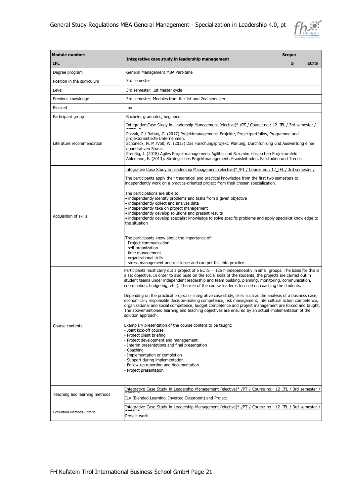

| <b>Module number:</b>              |                                                                                                                                                                                                                                                                                                                                                                                                                                                              | Scope: |             |  |  |
|------------------------------------|--------------------------------------------------------------------------------------------------------------------------------------------------------------------------------------------------------------------------------------------------------------------------------------------------------------------------------------------------------------------------------------------------------------------------------------------------------------|--------|-------------|--|--|
| <b>IFL</b>                         | Integrative case study in leadership management                                                                                                                                                                                                                                                                                                                                                                                                              | 5      | <b>ECTS</b> |  |  |
| Degree program                     | General Management MBA Part-time                                                                                                                                                                                                                                                                                                                                                                                                                             |        |             |  |  |
| Position in the curriculum         | 3rd semester                                                                                                                                                                                                                                                                                                                                                                                                                                                 |        |             |  |  |
| Level                              | 3rd semester: 1st Master cycle                                                                                                                                                                                                                                                                                                                                                                                                                               |        |             |  |  |
| Previous knowledge                 | 3rd semester: Modules from the 1st and 2nd semester                                                                                                                                                                                                                                                                                                                                                                                                          |        |             |  |  |
| <b>Blocked</b>                     | no                                                                                                                                                                                                                                                                                                                                                                                                                                                           |        |             |  |  |
| Participant group                  | Bachelor graduates, beginners                                                                                                                                                                                                                                                                                                                                                                                                                                |        |             |  |  |
|                                    | Integrative Case Study in Leadership Management (elective)* /PT / Course no.: 12_IFL / 3rd semester /                                                                                                                                                                                                                                                                                                                                                        |        |             |  |  |
| Literature recommendation          | Patzak, G./ Rattay, G. (2017) Projektmanagement: Projekte, Projektportfolios, Programme und<br>projektorientierte Unternehmen.<br>Schöneck, N. M./Voß, W. (2013) Das Forschungsprojekt: Planung, Durchführung und Auswertung einer<br>quantitativen Studie.<br>Preußig, J. (2018) Agiles Projektmanagement: Agilität und Scrumim klassischen Projektumfeld.<br>Ahlemann, F. (2013): Strategisches Projektmanagement: Praxisleitfaden, Fallstudien und Trends |        |             |  |  |
|                                    | Integrative Case Study in Leadership Management (elective)* /PT / Course no.: 12 IFL / 3rd semester /                                                                                                                                                                                                                                                                                                                                                        |        |             |  |  |
|                                    | The participants apply their theoretical and practical knowledge from the first two semesters to<br>independently work on a practice-oriented project from their chosen specialization.                                                                                                                                                                                                                                                                      |        |             |  |  |
| Acquisition of skills              | The participations are able to:<br>· independently identify problems and tasks from a given objective<br>• independently collect and analyze data<br>· independently take on project management<br>· independently develop solutions and present results<br>• independently develop specialist knowledge to solve specific problems and apply specialist knowledge to<br>the situation                                                                       |        |             |  |  |
|                                    | The participants know about the importance of:<br>- Project communication<br>- self-organization<br>- time management<br>- organizational skills<br>- stress management and resilience and can put this into practice                                                                                                                                                                                                                                        |        |             |  |  |
|                                    | Participants must carry out a project of 5 ECTS = 125 h independently in small groups. The basis for this is<br>a set objective. In order to also build on the social skills of the students, the projects are carried out in<br>student teams under independent leadership and team building, planning, monitoring, communication,<br>coordination, budgeting, etc.). The role of the course leader is focused on coaching the students.                    |        |             |  |  |
|                                    | Depending on the practical project or integrative case study, skills such as the analysis of a business case,<br>economically responsible decision-making competence, risk management, intercultural action competence,<br>organizational and social competence, budget competence and project management are forced and taught.<br>The abovementioned learning and teaching objectives are ensured by an actual implementation of the<br>solution approach. |        |             |  |  |
| Course contents                    | Exemplary presentation of the course content to be taught:<br>Joint kick-off course<br>Project client briefing<br>Project development and management<br>Interim presentations and final presentation<br>Coaching<br>Implementation or completion<br>Support during implementation<br>Follow-up reporting and documentation<br>Project presentation                                                                                                           |        |             |  |  |
|                                    | Integrative Case Study in Leadership Management (elective)* /PT / Course no.: 12 IFL / 3rd semester /                                                                                                                                                                                                                                                                                                                                                        |        |             |  |  |
| Teaching and learning methods      | ILV (Blended Learning, Inverted Classroom) and Project                                                                                                                                                                                                                                                                                                                                                                                                       |        |             |  |  |
| <b>Evaluation Methods Criteria</b> | Integrative Case Study in Leadership Management (elective)* /PT / Course no.: 12_IFL / 3rd semester /<br>Project work                                                                                                                                                                                                                                                                                                                                        |        |             |  |  |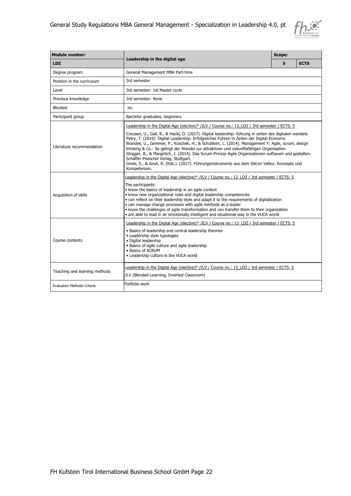

| <b>Module number:</b>              |                                                                                                                                                                                                                                                                                                                                                                                                                                                                                                                                                                                                                                                                                                                                                                      | Scope: |             |
|------------------------------------|----------------------------------------------------------------------------------------------------------------------------------------------------------------------------------------------------------------------------------------------------------------------------------------------------------------------------------------------------------------------------------------------------------------------------------------------------------------------------------------------------------------------------------------------------------------------------------------------------------------------------------------------------------------------------------------------------------------------------------------------------------------------|--------|-------------|
| <b>LDZ</b>                         | Leadership in the digital age                                                                                                                                                                                                                                                                                                                                                                                                                                                                                                                                                                                                                                                                                                                                        | 5      | <b>ECTS</b> |
| Degree program                     | General Management MBA Part-time                                                                                                                                                                                                                                                                                                                                                                                                                                                                                                                                                                                                                                                                                                                                     |        |             |
| Position in the curriculum         | 3rd semester                                                                                                                                                                                                                                                                                                                                                                                                                                                                                                                                                                                                                                                                                                                                                         |        |             |
| Level                              | 3rd semester: 1st Master cycle                                                                                                                                                                                                                                                                                                                                                                                                                                                                                                                                                                                                                                                                                                                                       |        |             |
| Previous knowledge                 | 3rd semester: None                                                                                                                                                                                                                                                                                                                                                                                                                                                                                                                                                                                                                                                                                                                                                   |        |             |
| Blocked                            | no                                                                                                                                                                                                                                                                                                                                                                                                                                                                                                                                                                                                                                                                                                                                                                   |        |             |
| Participant group                  | Bachelor graduates, beginners                                                                                                                                                                                                                                                                                                                                                                                                                                                                                                                                                                                                                                                                                                                                        |        |             |
| Literature recommendation          | Leadership in the Digital Age (elective)* /ILV / Course no.: 13 LDZ / 3rd semester / ECTS: 5<br>Creusen, U., Gall, B., & Hackl, O. (2017). Digital leadership: führung in zeiten des digitalen wandels.<br>Petry, T. (2019). Digital Leadership: Erfolgreiches Führen in Zeiten der Digital Economy.<br>Brandes, U., Gemmer, P., Koschek, H., & Schültken, L. (2014). Management Y: Agile, scrum, design<br>thinking & Co.: So gelingt der Wandel zur attraktiven und zukunftsfähigen Organisation.<br>Glogger, B., & Margetich, J. (2014). Das Scrum-Prinzip-Agile Organisationen aufbauen und gestalten.<br>Schäffer-Poeschel Verlag, Stuttgart.<br>Grote, S., & Goyk, R. (Eds.). (2017). Führungsinstrumente aus dem Silicon Valley: Konzepte und<br>Kompetenzen. |        |             |
| Acquisition of skills              | Leadership in the Digital Age (elective)* /ILV / Course no.: 13 LDZ / 3rd semester / ECTS: 5<br>The participants:<br>• know the basics of leadership in an agile context<br>• know new organizational roles and digital leadership competencies<br>• can reflect on their leadership style and adapt it to the requirements of digitalization<br>• can manage change processes with agile methods as a leader<br>• know the challenges of agile transformation and can transfer them to their organization<br>• are able to lead in an emotionally intelligent and situational way in the VUCA world                                                                                                                                                                 |        |             |
| Course contents                    | Leadership in the Digital Age (elective)* /ILV / Course no.: 13 LDZ / 3rd semester / ECTS: 5<br>• Basics of leadership and central leadership theories<br>• Leadership style typologies<br>· Digital leadership<br>• Basics of agile culture and agile leadership<br>• Basics of SCRUM<br>• Leadership culture in the VUCA world                                                                                                                                                                                                                                                                                                                                                                                                                                     |        |             |
| Teaching and learning methods      | Leadership in the Digital Age (elective)* /ILV / Course no.: 13 LDZ / 3rd semester / ECTS: 5<br>ILV (Blended Learning, Inverted Classroom)<br>Portfolio work                                                                                                                                                                                                                                                                                                                                                                                                                                                                                                                                                                                                         |        |             |
| <b>Evaluation Methods Criteria</b> |                                                                                                                                                                                                                                                                                                                                                                                                                                                                                                                                                                                                                                                                                                                                                                      |        |             |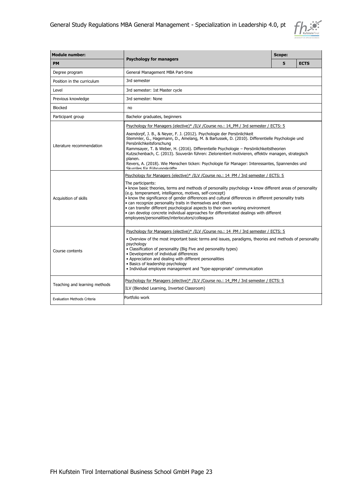

| <b>Module number:</b>              |                                                                                                                                                                                                                                                                                                                                                                                                                                                                                                                                                                                                                                                                                             | <b>Scope:</b> |             |  |
|------------------------------------|---------------------------------------------------------------------------------------------------------------------------------------------------------------------------------------------------------------------------------------------------------------------------------------------------------------------------------------------------------------------------------------------------------------------------------------------------------------------------------------------------------------------------------------------------------------------------------------------------------------------------------------------------------------------------------------------|---------------|-------------|--|
| <b>PM</b>                          | <b>Psychology for managers</b>                                                                                                                                                                                                                                                                                                                                                                                                                                                                                                                                                                                                                                                              | 5             | <b>ECTS</b> |  |
| Degree program                     | General Management MBA Part-time                                                                                                                                                                                                                                                                                                                                                                                                                                                                                                                                                                                                                                                            |               |             |  |
| Position in the curriculum         | 3rd semester                                                                                                                                                                                                                                                                                                                                                                                                                                                                                                                                                                                                                                                                                |               |             |  |
| Level                              | 3rd semester: 1st Master cycle                                                                                                                                                                                                                                                                                                                                                                                                                                                                                                                                                                                                                                                              |               |             |  |
| Previous knowledge                 | 3rd semester: None                                                                                                                                                                                                                                                                                                                                                                                                                                                                                                                                                                                                                                                                          |               |             |  |
| Blocked                            | no                                                                                                                                                                                                                                                                                                                                                                                                                                                                                                                                                                                                                                                                                          |               |             |  |
| Participant group                  | Bachelor graduates, beginners                                                                                                                                                                                                                                                                                                                                                                                                                                                                                                                                                                                                                                                               |               |             |  |
| Literature recommendation          | Psychology for Managers (elective)* /ILV /Course no.: 14 PM / 3rd semester / ECTS: 5<br>Asendorpf, J. B., & Neyer, F. J. (2012). Psychologie der Persönlichkeit<br>Stemmler, G., Hagemann, D., Amelang, M. & Bartussek, D. (2010). Differentielle Psychologie und<br>Persönlichkeitsforschung<br>Rammsayer, T. & Weber, H. (2016). Differentielle Psychologie - Persönlichkeitstheorien<br>Kutzschenbach, C. (2013). Souverän führen: Zielorientiert motivieren, effektiv managen, strategisch<br>planen.<br>Revers, A. (2018). Wie Menschen ticken: Psychologie für Manager: Interessantes, Spannendes und<br>Skurriles für Führungskräfte                                                 |               |             |  |
| Acquisition of skills              | Psychology for Managers (elective)* /ILV /Course no.: 14 PM / 3rd semester / ECTS: 5<br>The participants:<br>• know basic theories, terms and methods of personality psychology • know different areas of personality<br>(e.g. temperament, intelligence, motives, self-concept)<br>. know the significance of gender differences and cultural differences in different personality traits<br>• can recognize personality traits in themselves and others<br>• can transfer different psychological aspects to their own working environment<br>• can develop concrete individual approaches for differentiated dealings with different<br>employees/personalities/interlocutors/colleagues |               |             |  |
| Course contents                    | Psychology for Managers (elective)* /ILV /Course no.: 14 PM / 3rd semester / ECTS: 5<br>. Overview of the most important basic terms and issues, paradigms, theories and methods of personality<br>psychology<br>• Classification of personality (Big Five and personality types)<br>• Development of individual differences<br>• Appreciation and dealing with different personalities<br>• Basics of leadership psychology<br>• Individual employee management and "type-appropriate" communication                                                                                                                                                                                       |               |             |  |
| Teaching and learning methods      | Psychology for Managers (elective)* /ILV /Course no.: 14 PM / 3rd semester / ECTS: 5<br>ILV (Blended Learning, Inverted Classroom)                                                                                                                                                                                                                                                                                                                                                                                                                                                                                                                                                          |               |             |  |
| <b>Evaluation Methods Criteria</b> | Portfolio work                                                                                                                                                                                                                                                                                                                                                                                                                                                                                                                                                                                                                                                                              |               |             |  |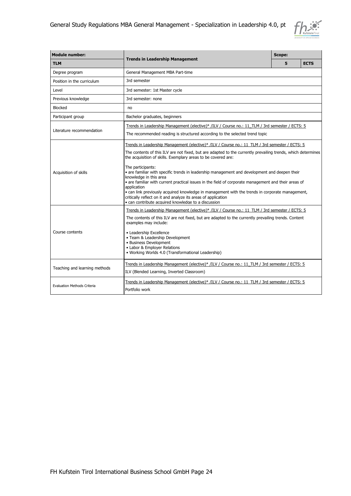

| <b>Module number:</b>              |                                                                                                                                                                                                                                                                                                                                                                                                                                                                                                                                                                                                                                                                                                                                                                                   |   | <b>Scope:</b> |  |  |
|------------------------------------|-----------------------------------------------------------------------------------------------------------------------------------------------------------------------------------------------------------------------------------------------------------------------------------------------------------------------------------------------------------------------------------------------------------------------------------------------------------------------------------------------------------------------------------------------------------------------------------------------------------------------------------------------------------------------------------------------------------------------------------------------------------------------------------|---|---------------|--|--|
| <b>TLM</b>                         | <b>Trends in Leadership Management</b>                                                                                                                                                                                                                                                                                                                                                                                                                                                                                                                                                                                                                                                                                                                                            | 5 | <b>ECTS</b>   |  |  |
| Degree program                     | General Management MBA Part-time                                                                                                                                                                                                                                                                                                                                                                                                                                                                                                                                                                                                                                                                                                                                                  |   |               |  |  |
| Position in the curriculum         | 3rd semester                                                                                                                                                                                                                                                                                                                                                                                                                                                                                                                                                                                                                                                                                                                                                                      |   |               |  |  |
| Level                              | 3rd semester: 1st Master cycle                                                                                                                                                                                                                                                                                                                                                                                                                                                                                                                                                                                                                                                                                                                                                    |   |               |  |  |
| Previous knowledge                 | 3rd semester: none                                                                                                                                                                                                                                                                                                                                                                                                                                                                                                                                                                                                                                                                                                                                                                |   |               |  |  |
| <b>Blocked</b>                     | no                                                                                                                                                                                                                                                                                                                                                                                                                                                                                                                                                                                                                                                                                                                                                                                |   |               |  |  |
| Participant group                  | Bachelor graduates, beginners                                                                                                                                                                                                                                                                                                                                                                                                                                                                                                                                                                                                                                                                                                                                                     |   |               |  |  |
| Literature recommendation          | Trends in Leadership Management (elective)* /ILV / Course no.: 11 TLM / 3rd semester / ECTS: 5<br>The recommended reading is structured according to the selected trend topic                                                                                                                                                                                                                                                                                                                                                                                                                                                                                                                                                                                                     |   |               |  |  |
| Acquisition of skills              | Trends in Leadership Management (elective)* /ILV / Course no.: 11 TLM / 3rd semester / ECTS: 5<br>The contents of this ILV are not fixed, but are adapted to the currently prevailing trends, which determines<br>the acquisition of skills. Exemplary areas to be covered are:<br>The participants:<br>· are familiar with specific trends in leadership management and development and deepen their<br>knowledge in this area<br>• are familiar with current practical issues in the field of corporate management and their areas of<br>application<br>• can link previously acquired knowledge in management with the trends in corporate management,<br>critically reflect on it and analyze its areas of application<br>. can contribute acquired knowledge to a discussion |   |               |  |  |
| Course contents                    | Trends in Leadership Management (elective)* /ILV / Course no.: 11 TLM / 3rd semester / ECTS: 5<br>The contents of this ILV are not fixed, but are adapted to the currently prevailing trends. Content<br>examples may include:<br>• Leadership Excellence<br>• Team & Leadership Development<br>• Business Development<br>• Labor & Employer Relations<br>• Working Worlds 4.0 (Transformational Leadership)                                                                                                                                                                                                                                                                                                                                                                      |   |               |  |  |
| Teaching and learning methods      | Trends in Leadership Management (elective)* /ILV / Course no.: 11 TLM / 3rd semester / ECTS: 5<br>ILV (Blended Learning, Inverted Classroom)                                                                                                                                                                                                                                                                                                                                                                                                                                                                                                                                                                                                                                      |   |               |  |  |
| <b>Evaluation Methods Criteria</b> | Trends in Leadership Management (elective)* /ILV / Course no.: 11 TLM / 3rd semester / ECTS: 5<br>Portfolio work                                                                                                                                                                                                                                                                                                                                                                                                                                                                                                                                                                                                                                                                  |   |               |  |  |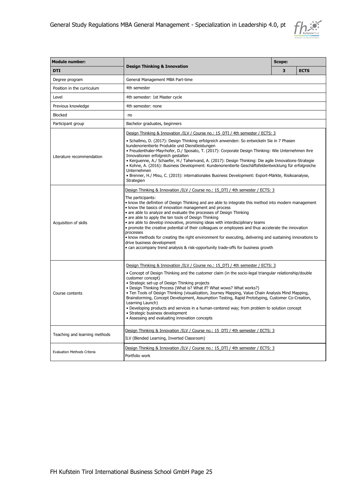

| <b>Module number:</b>              |                                                                                                                                                                                                                                                                                                                                                                                                                                                                                                                                                                                                                                                                                                                                                                                                                                              | Scope: |  |             |
|------------------------------------|----------------------------------------------------------------------------------------------------------------------------------------------------------------------------------------------------------------------------------------------------------------------------------------------------------------------------------------------------------------------------------------------------------------------------------------------------------------------------------------------------------------------------------------------------------------------------------------------------------------------------------------------------------------------------------------------------------------------------------------------------------------------------------------------------------------------------------------------|--------|--|-------------|
| <b>DTI</b>                         | <b>Design Thinking &amp; Innovation</b>                                                                                                                                                                                                                                                                                                                                                                                                                                                                                                                                                                                                                                                                                                                                                                                                      |        |  | <b>ECTS</b> |
| Degree program                     | General Management MBA Part-time                                                                                                                                                                                                                                                                                                                                                                                                                                                                                                                                                                                                                                                                                                                                                                                                             |        |  |             |
| Position in the curriculum         | 4th semester                                                                                                                                                                                                                                                                                                                                                                                                                                                                                                                                                                                                                                                                                                                                                                                                                                 |        |  |             |
| Level                              | 4th semester: 1st Master cycle                                                                                                                                                                                                                                                                                                                                                                                                                                                                                                                                                                                                                                                                                                                                                                                                               |        |  |             |
| Previous knowledge                 | 4th semester: none                                                                                                                                                                                                                                                                                                                                                                                                                                                                                                                                                                                                                                                                                                                                                                                                                           |        |  |             |
| <b>Blocked</b>                     | no                                                                                                                                                                                                                                                                                                                                                                                                                                                                                                                                                                                                                                                                                                                                                                                                                                           |        |  |             |
| Participant group                  | Bachelor graduates, beginners                                                                                                                                                                                                                                                                                                                                                                                                                                                                                                                                                                                                                                                                                                                                                                                                                |        |  |             |
| Literature recommendation          | Design Thinking & Innovation /ILV / Course no.: 15 DTI / 4th semester / ECTS: 3<br>• Schallmo, D. (2017): Design Thinking erfolgreich anwenden: So entwickeln Sie in 7 Phasen<br>kundenorientierte Produkte und Dienstleistungen<br>• Freudenthaler-Mayrhofer, D./ Sposato, T. (2017): Corporate Design Thinking: Wie Unternehmen ihre<br>Innovationen erfolgreich gestalten<br>• Kerguenne, A./ Schaefer, H./ Taherivand, A. (2017): Design Thinking: Die agile Innovations-Strategie<br>• Kohne, A. (2016): Business Development: Kundenorientierte Geschäftsfeldentwicklung für erfolgreiche<br>Unternehmen<br>• Brenner, H./ Misu, C. (2015): internationales Business Development: Export-Märkte, Risikoanalyse,<br>Strategien                                                                                                          |        |  |             |
| Acquisition of skills              | Design Thinking & Innovation /ILV / Course no.: 15 DTI / 4th semester / ECTS: 3<br>The participants:<br>• know the definition of Design Thinking and are able to integrate this method into modern management<br>• know the basics of innovation management and process<br>• are able to analyze and evaluate the processes of Design Thinking<br>• are able to apply the ten tools of Design Thinking<br>• are able to develop innovative, promising ideas with interdisciplinary teams<br>· promote the creative potential of their colleagues or employees and thus accelerate the innovation<br>processes<br>• know methods for creating the right environment for executing, delivering and sustaining innovations to<br>drive business development<br>• can accompany trend analysis & risk-opportunity trade-offs for business growth |        |  |             |
| Course contents                    | Design Thinking & Innovation /ILV / Course no.: 15 DTI / 4th semester / ECTS: 3<br>• Concept of Design Thinking and the customer claim (in the socio-legal triangular relationship/double<br>customer concept)<br>• Strategic set-up of Design Thinking projects<br>. Design Thinking Process (What is? What if? What wows? What works?)<br>. Ten Tools of Design Thinking (visualization, Journey Mapping, Value Chain Analysis Mind Mapping,<br>Brainstorming, Concept Development, Assumption Testing, Rapid Prototyping, Customer Co-Creation,<br>Learning Launch)<br>. Developing products and services in a human-centered way; from problem to solution concept<br>• Strategic business development<br>• Assessing and evaluating innovation concepts                                                                                 |        |  |             |
| Teaching and learning methods      | Design Thinking & Innovation /ILV / Course no.: 15 DTI / 4th semester / ECTS: 3<br>ILV (Blended Learning, Inverted Classroom)                                                                                                                                                                                                                                                                                                                                                                                                                                                                                                                                                                                                                                                                                                                |        |  |             |
| <b>Evaluation Methods Criteria</b> | Design Thinking & Innovation /ILV / Course no.: 15 DTI / 4th semester / ECTS: 3<br>Portfolio work                                                                                                                                                                                                                                                                                                                                                                                                                                                                                                                                                                                                                                                                                                                                            |        |  |             |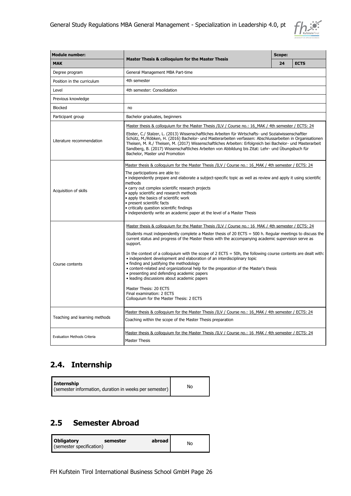

| <b>Module number:</b>              |                                                                                                                                                                                                                                                                                                                                                                                                                                                                                                                                                                                                                                                                                                                                                                                                                                                                       |    | Scope:      |  |  |  |
|------------------------------------|-----------------------------------------------------------------------------------------------------------------------------------------------------------------------------------------------------------------------------------------------------------------------------------------------------------------------------------------------------------------------------------------------------------------------------------------------------------------------------------------------------------------------------------------------------------------------------------------------------------------------------------------------------------------------------------------------------------------------------------------------------------------------------------------------------------------------------------------------------------------------|----|-------------|--|--|--|
| <b>MAK</b>                         | <b>Master Thesis &amp; colloquium for the Master Thesis</b>                                                                                                                                                                                                                                                                                                                                                                                                                                                                                                                                                                                                                                                                                                                                                                                                           | 24 | <b>ECTS</b> |  |  |  |
| Degree program                     | General Management MBA Part-time                                                                                                                                                                                                                                                                                                                                                                                                                                                                                                                                                                                                                                                                                                                                                                                                                                      |    |             |  |  |  |
| Position in the curriculum         | 4th semester                                                                                                                                                                                                                                                                                                                                                                                                                                                                                                                                                                                                                                                                                                                                                                                                                                                          |    |             |  |  |  |
| Level                              | 4th semester: Consolidation                                                                                                                                                                                                                                                                                                                                                                                                                                                                                                                                                                                                                                                                                                                                                                                                                                           |    |             |  |  |  |
| Previous knowledge                 |                                                                                                                                                                                                                                                                                                                                                                                                                                                                                                                                                                                                                                                                                                                                                                                                                                                                       |    |             |  |  |  |
| <b>Blocked</b>                     | no                                                                                                                                                                                                                                                                                                                                                                                                                                                                                                                                                                                                                                                                                                                                                                                                                                                                    |    |             |  |  |  |
| Participant group                  | Bachelor graduates, beginners                                                                                                                                                                                                                                                                                                                                                                                                                                                                                                                                                                                                                                                                                                                                                                                                                                         |    |             |  |  |  |
| Literature recommendation          | Master thesis & colloquium for the Master Thesis /ILV / Course no.: 16 MAK / 4th semester / ECTS: 24<br>Ebster, C./ Stalzer, L. (2013) Wissenschaftliches Arbeiten für Wirtschafts- und Sozialwissenschaftler<br>Schütz, M./Röbken, H. (2016) Bachelor- und Masterarbeiten verfassen: Abschlussarbeiten in Organisationen<br>Theisen, M. R./ Theisen, M. (2017) Wissenschaftliches Arbeiten: Erfolgreich bei Bachelor- und Masterarbeit<br>Sandberg, B. (2017) Wissenschaftliches Arbeiten von Abbildung bis Zitat: Lehr- und Übungsbuch für<br>Bachelor, Master und Promotion                                                                                                                                                                                                                                                                                        |    |             |  |  |  |
| Acquisition of skills              | Master thesis & colloguium for the Master Thesis /ILV / Course no.: 16 MAK / 4th semester / ECTS: 24<br>The participations are able to:<br>· independently prepare and elaborate a subject-specific topic as well as review and apply it using scientific<br>methods<br>· carry out complex scientific research projects<br>· apply scientific and research methods<br>• apply the basics of scientific work<br>· present scientific facts<br>• critically question scientific findings<br>• independently write an academic paper at the level of a Master Thesis                                                                                                                                                                                                                                                                                                    |    |             |  |  |  |
| Course contents                    | Master thesis & colloquium for the Master Thesis /ILV / Course no.: 16 MAK / 4th semester / ECTS: 24<br>Students must independently complete a Master thesis of 20 ECTS = 500 h. Regular meetings to discuss the<br>current status and progress of the Master thesis with the accompanying academic supervision serve as<br>support.<br>In the context of a colloquium with the scope of $2$ ECTS = 50h, the following course contents are dealt with:<br>• independent development and elaboration of an interdisciplinary topic<br>• finding and justifying the methodology<br>· content-related and organizational help for the preparation of the Master's thesis<br>• presenting and defending academic papers<br>· leading discussions about academic papers<br>Master Thesis: 20 ECTS<br>Final examination: 2 ECTS<br>Colloquium for the Master Thesis: 2 ECTS |    |             |  |  |  |
| Teaching and learning methods      | Master thesis & colloquium for the Master Thesis /ILV / Course no.: 16 MAK / 4th semester / ECTS: 24<br>Coaching within the scope of the Master Thesis preparation                                                                                                                                                                                                                                                                                                                                                                                                                                                                                                                                                                                                                                                                                                    |    |             |  |  |  |
| <b>Evaluation Methods Criteria</b> | Master thesis & colloquium for the Master Thesis /ILV / Course no.: 16 MAK / 4th semester / ECTS: 24<br>Master Thesis                                                                                                                                                                                                                                                                                                                                                                                                                                                                                                                                                                                                                                                                                                                                                 |    |             |  |  |  |

# <span id="page-25-0"></span>**2.4. Internship**

| Internship<br>(semester information, duration in weeks per semester) | No |
|----------------------------------------------------------------------|----|
|----------------------------------------------------------------------|----|

# <span id="page-25-1"></span>**2.5 Semester Abroad**

| <b>Obligatory</b><br>(semester specification) | semester | abroad l | No |
|-----------------------------------------------|----------|----------|----|
|                                               |          |          |    |